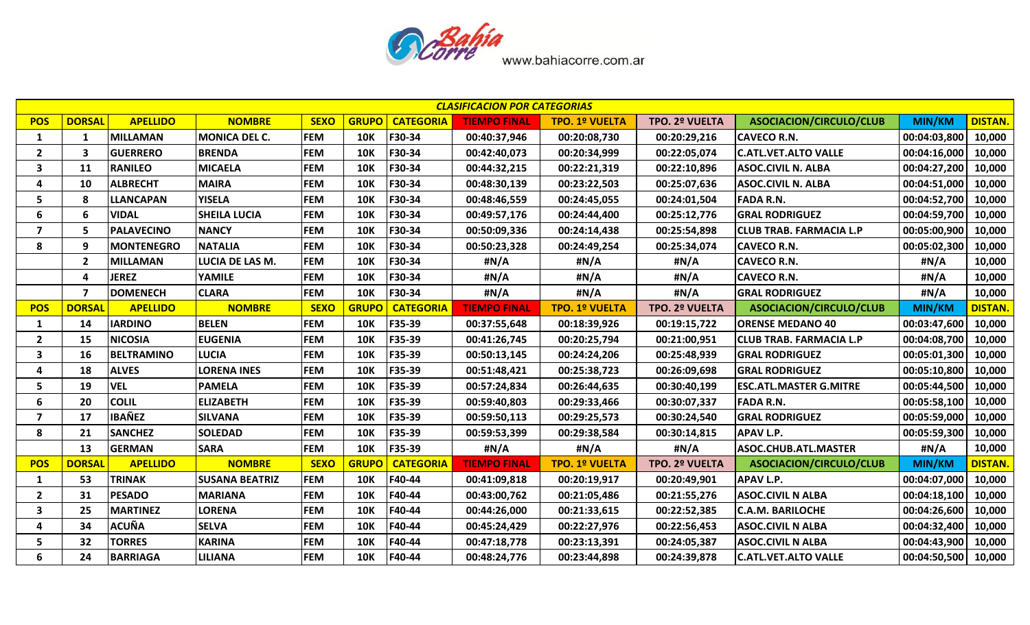

|                         | <b>CLASIFICACION POR CATEGORIAS</b><br><b>DORSAL</b><br><b>APELLIDO</b><br>ASOCIACION/CIRCULO/CLUB<br><b>DISTAN.</b><br><b>NOMBRE</b><br><b>SEXO</b><br><b>GRUPO</b><br>TPO. 2º VUELTA<br><b>TIEMPO FINAL</b> |                   |                       |             |              |                  |                     |                       |                |                                |               |                |  |  |
|-------------------------|---------------------------------------------------------------------------------------------------------------------------------------------------------------------------------------------------------------|-------------------|-----------------------|-------------|--------------|------------------|---------------------|-----------------------|----------------|--------------------------------|---------------|----------------|--|--|
| <b>POS</b>              |                                                                                                                                                                                                               |                   |                       |             |              | <b>CATEGORIA</b> |                     | <b>TPO. 1º VUELTA</b> |                |                                | <b>MIN/KM</b> |                |  |  |
| 1                       | 1                                                                                                                                                                                                             | <b>MILLAMAN</b>   | <b>MONICA DEL C.</b>  | <b>FEM</b>  | <b>10K</b>   | F30-34           | 00:40:37,946        | 00:20:08,730          | 00:20:29,216   | <b>CAVECO R.N.</b>             | 00:04:03,800  | 10,000         |  |  |
| $\overline{2}$          | 3                                                                                                                                                                                                             | <b>GUERRERO</b>   | <b>BRENDA</b>         | <b>FEM</b>  | <b>10K</b>   | F30-34           | 00:42:40,073        | 00:20:34,999          | 00:22:05,074   | <b>C.ATL.VET.ALTO VALLE</b>    | 00:04:16,000  | 10,000         |  |  |
| 3                       | 11                                                                                                                                                                                                            | <b>RANILEO</b>    | <b>MICAELA</b>        | <b>FEM</b>  | <b>10K</b>   | F30-34           | 00:44:32,215        | 00:22:21,319          | 00:22:10,896   | <b>ASOC.CIVIL N. ALBA</b>      | 00:04:27,200  | 10,000         |  |  |
| 4                       | 10                                                                                                                                                                                                            | <b>ALBRECHT</b>   | <b>MAIRA</b>          | <b>FEM</b>  | <b>10K</b>   | F30-34           | 00:48:30,139        | 00:23:22,503          | 00:25:07,636   | <b>ASOC.CIVIL N. ALBA</b>      | 00:04:51,000  | 10,000         |  |  |
| 5                       | 8                                                                                                                                                                                                             | <b>LLANCAPAN</b>  | <b>YISELA</b>         | <b>FEM</b>  | <b>10K</b>   | F30-34           | 00:48:46,559        | 00:24:45,055          | 00:24:01,504   | <b>FADA R.N.</b>               | 00:04:52,700  | 10,000         |  |  |
| 6                       | 6                                                                                                                                                                                                             | <b>VIDAL</b>      | <b>SHEILA LUCIA</b>   | <b>FEM</b>  | <b>10K</b>   | F30-34           | 00:49:57,176        | 00:24:44,400          | 00:25:12,776   | <b>GRAL RODRIGUEZ</b>          | 00:04:59,700  | 10,000         |  |  |
| $\overline{7}$          | 5                                                                                                                                                                                                             | <b>PALAVECINO</b> | <b>NANCY</b>          | <b>FEM</b>  | <b>10K</b>   | F30-34           | 00:50:09,336        | 00:24:14,438          | 00:25:54,898   | <b>CLUB TRAB. FARMACIA L.P</b> | 00:05:00,900  | 10,000         |  |  |
| 8                       | 9                                                                                                                                                                                                             | <b>MONTENEGRO</b> | <b>NATALIA</b>        | <b>FEM</b>  | <b>10K</b>   | F30-34           | 00:50:23,328        | 00:24:49,254          | 00:25:34,074   | <b>CAVECO R.N.</b>             | 00:05:02,300  | 10,000         |  |  |
|                         | $\overline{2}$                                                                                                                                                                                                | <b>MILLAMAN</b>   | LUCIA DE LAS M.       | <b>FEM</b>  | <b>10K</b>   | F30-34           | #N/A                | #N/A                  | #N/A           | <b>CAVECO R.N.</b>             | #N/A          | 10,000         |  |  |
|                         | 4                                                                                                                                                                                                             | <b>JEREZ</b>      | YAMILE                | <b>FEM</b>  | <b>10K</b>   | F30-34           | #N/A                | #N/A                  | #N/A           | <b>CAVECO R.N.</b>             | #N/A          | 10,000         |  |  |
|                         | $\overline{\mathbf{z}}$                                                                                                                                                                                       | <b>DOMENECH</b>   | <b>CLARA</b>          | <b>FEM</b>  | <b>10K</b>   | F30-34           | #N/A                | #N/A                  | #N/A           | <b>GRAL RODRIGUEZ</b>          | #N/A          | 10,000         |  |  |
| <b>POS</b>              | <b>DORSA</b>                                                                                                                                                                                                  | <b>APELLIDO</b>   | <b>NOMBRE</b>         | <b>SEXO</b> | <b>GRUPO</b> | <b>CATEGORIA</b> | <b>TIEMPO FINAL</b> | <b>TPO. 1º VUELTA</b> | TPO. 2º VUELTA | ASOCIACION/CIRCULO/CLUB        | <b>MIN/KM</b> | <b>DISTAN</b>  |  |  |
| 1                       | 14                                                                                                                                                                                                            | <b>IARDINO</b>    | <b>BELEN</b>          | <b>FEM</b>  | <b>10K</b>   | F35-39           | 00:37:55,648        | 00:18:39,926          | 00:19:15,722   | <b>ORENSE MEDANO 40</b>        | 00:03:47,600  | 10,000         |  |  |
| $\mathbf{2}$            | 15                                                                                                                                                                                                            | <b>NICOSIA</b>    | <b>EUGENIA</b>        | <b>FEM</b>  | <b>10K</b>   | F35-39           | 00:41:26,745        | 00:20:25,794          | 00:21:00,951   | CLUB TRAB. FARMACIA L.P        | 00:04:08,700  | 10,000         |  |  |
| $\overline{\mathbf{3}}$ | 16                                                                                                                                                                                                            | <b>BELTRAMINO</b> | <b>LUCIA</b>          | <b>FEM</b>  | <b>10K</b>   | F35-39           | 00:50:13,145        | 00:24:24,206          | 00:25:48,939   | <b>GRAL RODRIGUEZ</b>          | 00:05:01,300  | 10,000         |  |  |
| 4                       | 18                                                                                                                                                                                                            | <b>ALVES</b>      | <b>LORENA INES</b>    | <b>FEM</b>  | <b>10K</b>   | F35-39           | 00:51:48,421        | 00:25:38,723          | 00:26:09,698   | <b>GRAL RODRIGUEZ</b>          | 00:05:10,800  | 10,000         |  |  |
| 5.                      | 19                                                                                                                                                                                                            | <b>VEL</b>        | <b>PAMELA</b>         | <b>FEM</b>  | <b>10K</b>   | F35-39           | 00:57:24,834        | 00:26:44,635          | 00:30:40,199   | <b>ESC.ATL.MASTER G.MITRE</b>  | 00:05:44,500  | 10,000         |  |  |
| 6                       | 20                                                                                                                                                                                                            | <b>COLIL</b>      | <b>ELIZABETH</b>      | <b>FEM</b>  | <b>10K</b>   | F35-39           | 00:59:40,803        | 00:29:33,466          | 00:30:07,337   | <b>FADA R.N.</b>               | 00:05:58,100  | 10,000         |  |  |
| 7                       | 17                                                                                                                                                                                                            | <b>IBAÑEZ</b>     | <b>SILVANA</b>        | <b>FEM</b>  | <b>10K</b>   | F35-39           | 00:59:50,113        | 00:29:25,573          | 00:30:24,540   | <b>GRAL RODRIGUEZ</b>          | 00:05:59,000  | 10,000         |  |  |
| 8                       | 21                                                                                                                                                                                                            | <b>SANCHEZ</b>    | <b>SOLEDAD</b>        | <b>FEM</b>  | <b>10K</b>   | F35-39           | 00:59:53,399        | 00:29:38,584          | 00:30:14,815   | <b>APAV L.P.</b>               | 00:05:59,300  | 10,000         |  |  |
|                         | 13                                                                                                                                                                                                            | <b>GERMAN</b>     | <b>SARA</b>           | <b>FEM</b>  | <b>10K</b>   | F35-39           | #N/A                | #N/A                  | #N/A           | ASOC.CHUB.ATL.MASTER           | #N/A          | 10,000         |  |  |
| <b>POS</b>              | <b>DORSAI</b>                                                                                                                                                                                                 | <b>APELLIDO</b>   | <b>NOMBRE</b>         | <b>SEXO</b> | <b>GRUPO</b> | <b>CATEGORIA</b> | <b>TIEMPO FINAL</b> | <b>TPO. 1º VUELTA</b> | TPO. 2º VUELTA | ASOCIACION/CIRCULO/CLUB        | <b>MIN/KM</b> | <b>DISTAN.</b> |  |  |
| 1                       | 53                                                                                                                                                                                                            | <b>TRINAK</b>     | <b>SUSANA BEATRIZ</b> | <b>FEM</b>  | <b>10K</b>   | F40-44           | 00:41:09,818        | 00:20:19,917          | 00:20:49,901   | <b>APAV L.P.</b>               | 00:04:07,000  | 10,000         |  |  |
| $\overline{2}$          | 31                                                                                                                                                                                                            | <b>PESADO</b>     | <b>MARIANA</b>        | <b>FEM</b>  | <b>10K</b>   | F40-44           | 00:43:00,762        | 00:21:05,486          | 00:21:55,276   | <b>ASOC.CIVIL N ALBA</b>       | 00:04:18,100  | 10,000         |  |  |
| 3                       | 25                                                                                                                                                                                                            | <b>MARTINEZ</b>   | <b>LORENA</b>         | <b>FEM</b>  | <b>10K</b>   | F40-44           | 00:44:26,000        | 00:21:33,615          | 00:22:52,385   | <b>C.A.M. BARILOCHE</b>        | 00:04:26,600  | 10,000         |  |  |
| Δ                       | 34                                                                                                                                                                                                            | <b>ACUÑA</b>      | <b>SELVA</b>          | <b>FEM</b>  | <b>10K</b>   | F40-44           | 00:45:24,429        | 00:22:27,976          | 00:22:56,453   | <b>ASOC.CIVIL N ALBA</b>       | 00:04:32,400  | 10,000         |  |  |
| 5                       | 32                                                                                                                                                                                                            | <b>TORRES</b>     | <b>KARINA</b>         | <b>FEM</b>  | <b>10K</b>   | F40-44           | 00:47:18,778        | 00:23:13,391          | 00:24:05,387   | <b>ASOC.CIVIL N ALBA</b>       | 00:04:43,900  | 10,000         |  |  |
| 6                       | 24                                                                                                                                                                                                            | <b>BARRIAGA</b>   | LILIANA               | <b>FEM</b>  | <b>10K</b>   | F40-44           | 00:48:24,776        | 00:23:44,898          | 00:24:39,878   | <b>C.ATL.VET.ALTO VALLE</b>    | 00:04:50,500  | 10,000         |  |  |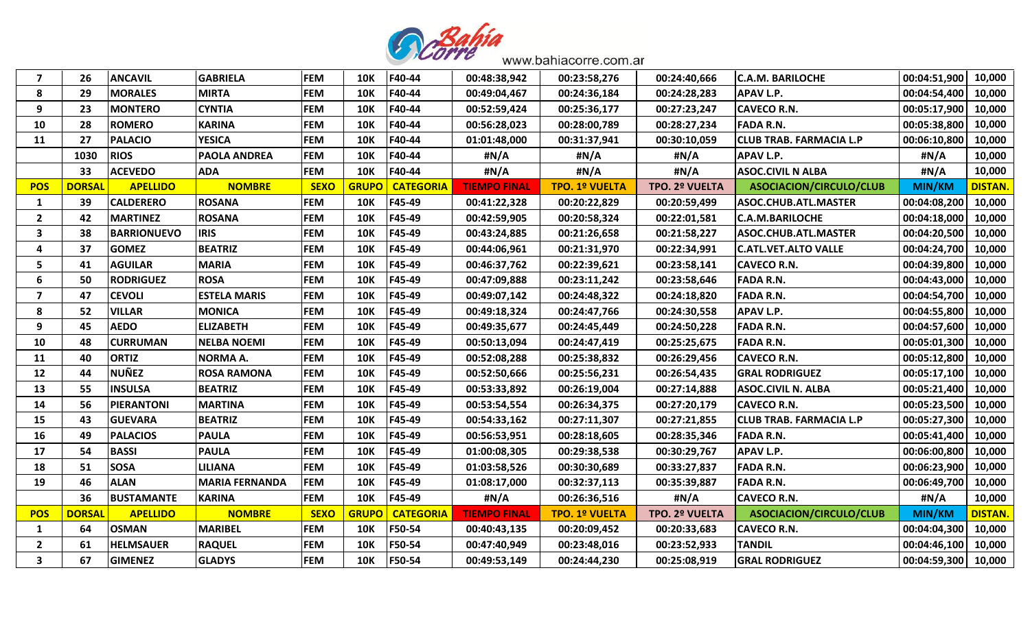

| 7                       | 26            | <b>ANCAVIL</b>     | <b>GABRIELA</b>       | <b>FEM</b>  | <b>10K</b>   | F40-44           | 00:48:38,942        | 00:23:58,276          | 00:24:40,666          | <b>C.A.M. BARILOCHE</b>        | 00:04:51,900  | 10,000         |
|-------------------------|---------------|--------------------|-----------------------|-------------|--------------|------------------|---------------------|-----------------------|-----------------------|--------------------------------|---------------|----------------|
| 8                       | 29            | <b>MORALES</b>     | <b>MIRTA</b>          | <b>FEM</b>  | <b>10K</b>   | F40-44           | 00:49:04,467        | 00:24:36,184          | 00:24:28,283          | <b>APAV L.P.</b>               | 00:04:54,400  | 10,000         |
| 9                       | 23            | <b>MONTERO</b>     | <b>CYNTIA</b>         | <b>FEM</b>  | <b>10K</b>   | F40-44           | 00:52:59,424        | 00:25:36,177          | 00:27:23,247          | <b>CAVECO R.N.</b>             | 00:05:17,900  | 10,000         |
| 10                      | 28            | <b>ROMERO</b>      | <b>KARINA</b>         | <b>FEM</b>  | <b>10K</b>   | F40-44           | 00:56:28,023        | 00:28:00,789          | 00:28:27,234          | <b>FADA R.N.</b>               | 00:05:38,800  | 10,000         |
| 11                      | 27            | <b>PALACIO</b>     | <b>YESICA</b>         | <b>FEM</b>  | <b>10K</b>   | F40-44           | 01:01:48,000        | 00:31:37,941          | 00:30:10,059          | <b>CLUB TRAB. FARMACIA L.P</b> | 00:06:10,800  | 10,000         |
|                         | 1030          | <b>RIOS</b>        | <b>PAOLA ANDREA</b>   | <b>FEM</b>  | <b>10K</b>   | F40-44           | #N/A                | #N/A                  | #N/A                  | <b>APAV L.P.</b>               | #N/A          | 10,000         |
|                         | 33            | <b>ACEVEDO</b>     | <b>ADA</b>            | <b>FEM</b>  | <b>10K</b>   | F40-44           | #N/A                | #N/A                  | #N/A                  | <b>ASOC.CIVIL N ALBA</b>       | #N/A          | 10,000         |
| <b>POS</b>              | <b>DORSAI</b> | <b>APELLIDO</b>    | <b>NOMBRE</b>         | <b>SEXO</b> | <b>GRUPO</b> | <b>CATEGORIA</b> | <b>TIEMPO FINAL</b> | <b>TPO. 1º VUELTA</b> | <b>TPO. 2º VUELTA</b> | <b>ASOCIACION/CIRCULO/CLUB</b> | MIN/KM        | <b>DISTAN.</b> |
| 1                       | 39            | <b>CALDERERO</b>   | <b>ROSANA</b>         | <b>FEM</b>  | <b>10K</b>   | F45-49           | 00:41:22,328        | 00:20:22,829          | 00:20:59,499          | <b>ASOC.CHUB.ATL.MASTER</b>    | 00:04:08,200  | 10,000         |
| $\overline{2}$          | 42            | <b>MARTINEZ</b>    | <b>ROSANA</b>         | <b>FEM</b>  | <b>10K</b>   | F45-49           | 00:42:59,905        | 00:20:58,324          | 00:22:01,581          | <b>C.A.M.BARILOCHE</b>         | 00:04:18,000  | 10,000         |
| 3                       | 38            | <b>BARRIONUEVO</b> | <b>IRIS</b>           | <b>FEM</b>  | <b>10K</b>   | F45-49           | 00:43:24,885        | 00:21:26,658          | 00:21:58,227          | ASOC.CHUB.ATL.MASTER           | 00:04:20,500  | 10,000         |
| $\overline{\mathbf{4}}$ | 37            | <b>GOMEZ</b>       | <b>BEATRIZ</b>        | <b>FEM</b>  | <b>10K</b>   | F45-49           | 00:44:06,961        | 00:21:31,970          | 00:22:34,991          | <b>C.ATL.VET.ALTO VALLE</b>    | 00:04:24,700  | 10,000         |
| 5                       | 41            | <b>AGUILAR</b>     | <b>MARIA</b>          | <b>FEM</b>  | <b>10K</b>   | F45-49           | 00:46:37,762        | 00:22:39,621          | 00:23:58,141          | <b>CAVECO R.N.</b>             | 00:04:39,800  | 10,000         |
| 6                       | 50            | <b>RODRIGUEZ</b>   | <b>ROSA</b>           | <b>FEM</b>  | <b>10K</b>   | F45-49           | 00:47:09,888        | 00:23:11,242          | 00:23:58,646          | <b>FADA R.N.</b>               | 00:04:43,000  | 10,000         |
| $\overline{7}$          | 47            | <b>CEVOLI</b>      | <b>ESTELA MARIS</b>   | <b>FEM</b>  | <b>10K</b>   | F45-49           | 00:49:07,142        | 00:24:48,322          | 00:24:18,820          | <b>FADA R.N.</b>               | 00:04:54,700  | 10,000         |
| 8                       | 52            | <b>VILLAR</b>      | <b>MONICA</b>         | <b>FEM</b>  | <b>10K</b>   | F45-49           | 00:49:18,324        | 00:24:47,766          | 00:24:30,558          | <b>APAV L.P.</b>               | 00:04:55,800  | 10,000         |
| 9                       | 45            | <b>AEDO</b>        | <b>ELIZABETH</b>      | <b>FEM</b>  | <b>10K</b>   | F45-49           | 00:49:35,677        | 00:24:45,449          | 00:24:50,228          | <b>FADA R.N.</b>               | 00:04:57,600  | 10,000         |
| 10                      | 48            | <b>CURRUMAN</b>    | <b>NELBA NOEMI</b>    | <b>FEM</b>  | <b>10K</b>   | F45-49           | 00:50:13,094        | 00:24:47,419          | 00:25:25,675          | <b>FADA R.N.</b>               | 00:05:01,300  | 10,000         |
| 11                      | 40            | <b>ORTIZ</b>       | <b>NORMA A.</b>       | <b>FEM</b>  | <b>10K</b>   | F45-49           | 00:52:08,288        | 00:25:38,832          | 00:26:29,456          | <b>CAVECO R.N.</b>             | 00:05:12,800  | 10,000         |
| 12                      | 44            | <b>NUÑEZ</b>       | <b>ROSA RAMONA</b>    | <b>FEM</b>  | <b>10K</b>   | F45-49           | 00:52:50,666        | 00:25:56,231          | 00:26:54,435          | <b>GRAL RODRIGUEZ</b>          | 00:05:17,100  | 10,000         |
| 13                      | 55            | <b>INSULSA</b>     | <b>BEATRIZ</b>        | <b>FEM</b>  | <b>10K</b>   | F45-49           | 00:53:33,892        | 00:26:19,004          | 00:27:14,888          | <b>ASOC.CIVIL N. ALBA</b>      | 00:05:21,400  | 10,000         |
| 14                      | 56            | <b>PIERANTONI</b>  | <b>MARTINA</b>        | <b>FEM</b>  | <b>10K</b>   | F45-49           | 00:53:54,554        | 00:26:34,375          | 00:27:20,179          | <b>CAVECO R.N.</b>             | 00:05:23,500  | 10,000         |
| 15                      | 43            | <b>GUEVARA</b>     | <b>BEATRIZ</b>        | <b>FEM</b>  | <b>10K</b>   | F45-49           | 00:54:33,162        | 00:27:11,307          | 00:27:21,855          | <b>CLUB TRAB. FARMACIA L.P</b> | 00:05:27,300  | 10,000         |
| 16                      | 49            | <b>PALACIOS</b>    | <b>PAULA</b>          | <b>FEM</b>  | <b>10K</b>   | F45-49           | 00:56:53,951        | 00:28:18,605          | 00:28:35,346          | <b>FADA R.N.</b>               | 00:05:41,400  | 10,000         |
| 17                      | 54            | <b>BASSI</b>       | <b>PAULA</b>          | <b>FEM</b>  | <b>10K</b>   | F45-49           | 01:00:08,305        | 00:29:38,538          | 00:30:29,767          | <b>APAV L.P.</b>               | 00:06:00,800  | 10,000         |
| 18                      | 51            | <b>SOSA</b>        | <b>LILIANA</b>        | <b>FEM</b>  | <b>10K</b>   | F45-49           | 01:03:58,526        | 00:30:30,689          | 00:33:27,837          | <b>FADA R.N.</b>               | 00:06:23,900  | 10,000         |
| 19                      | 46            | <b>ALAN</b>        | <b>MARIA FERNANDA</b> | <b>FEM</b>  | <b>10K</b>   | F45-49           | 01:08:17,000        | 00:32:37,113          | 00:35:39,887          | <b>FADA R.N.</b>               | 00:06:49,700  | 10,000         |
|                         | 36            | <b>BUSTAMANTE</b>  | <b>KARINA</b>         | <b>FEM</b>  | <b>10K</b>   | F45-49           | #N/A                | 00:26:36,516          | #N/A                  | <b>CAVECO R.N.</b>             | #N/A          | 10,000         |
| <b>POS</b>              | <b>DORSAI</b> | <b>APELLIDO</b>    | <b>NOMBRE</b>         | <b>SEXO</b> | <b>GRUPO</b> | <b>CATEGORIA</b> | <b>TIEMPO FINAL</b> | <b>TPO. 1º VUELTA</b> | TPO. 2º VUELTA        | ASOCIACION/CIRCULO/CLUB        | <b>MIN/KM</b> | <b>DISTAN.</b> |
| 1                       | 64            | <b>OSMAN</b>       | <b>MARIBEL</b>        | <b>FEM</b>  | <b>10K</b>   | F50-54           | 00:40:43,135        | 00:20:09,452          | 00:20:33,683          | <b>CAVECO R.N.</b>             | 00:04:04,300  | 10,000         |
| $\overline{2}$          | 61            | <b>HELMSAUER</b>   | <b>RAQUEL</b>         | <b>FEM</b>  | <b>10K</b>   | F50-54           | 00:47:40,949        | 00:23:48,016          | 00:23:52,933          | <b>TANDIL</b>                  | 00:04:46,100  | 10,000         |
| 3                       | 67            | <b>GIMENEZ</b>     | <b>GLADYS</b>         | <b>FEM</b>  | <b>10K</b>   | F50-54           | 00:49:53,149        | 00:24:44,230          | 00:25:08,919          | <b>GRAL RODRIGUEZ</b>          | 00:04:59,300  | 10,000         |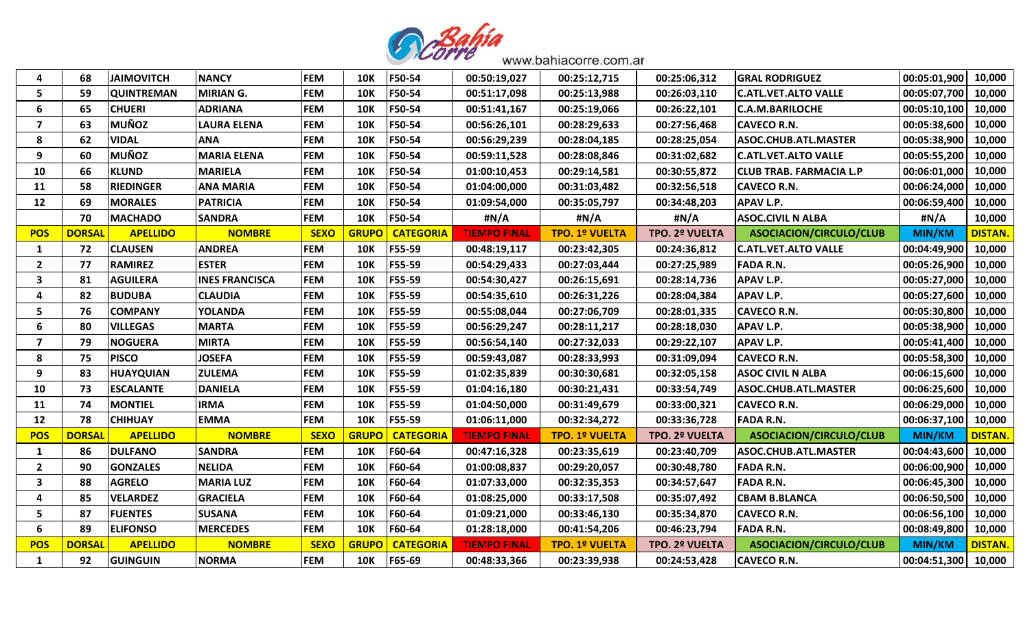

| $\boldsymbol{a}$        | 68            | <b>JAIMOVITCH</b> | <b>NANCY</b>          | <b>FEM</b>  | <b>10K</b>   | F50-54           | 00:50:19,027        | 00:25:12,715          | 00:25:06,312   | <b>GRAL RODRIGUEZ</b>          | 00:05:01,900  | 10,000         |
|-------------------------|---------------|-------------------|-----------------------|-------------|--------------|------------------|---------------------|-----------------------|----------------|--------------------------------|---------------|----------------|
| 5                       | 59            | <b>QUINTREMAN</b> | <b>MIRIAN G.</b>      | <b>FEM</b>  | <b>10K</b>   | F50-54           | 00:51:17,098        | 00:25:13,988          | 00:26:03,110   | <b>C.ATL.VET.ALTO VALLE</b>    | 00:05:07,700  | 10,000         |
| 6                       | 65            | <b>CHUERI</b>     | <b>ADRIANA</b>        | <b>FEM</b>  | <b>10K</b>   | F50-54           | 00:51:41,167        | 00:25:19,066          | 00:26:22,101   | <b>C.A.M.BARILOCHE</b>         | 00:05:10,100  | 10,000         |
| 7                       | 63            | MUÑOZ             | <b>LAURA ELENA</b>    | <b>FEM</b>  | <b>10K</b>   | F50-54           | 00:56:26,101        | 00:28:29,633          | 00:27:56,468   | <b>CAVECO R.N.</b>             | 00:05:38,600  | 10,000         |
| 8                       | 62            | <b>VIDAL</b>      | <b>ANA</b>            | <b>FEM</b>  | <b>10K</b>   | F50-54           | 00:56:29,239        | 00:28:04,185          | 00:28:25,054   | ASOC.CHUB.ATL.MASTER           | 00:05:38,900  | 10,000         |
| 9                       | 60            | <b>MUÑOZ</b>      | <b>MARIA ELENA</b>    | <b>FEM</b>  | <b>10K</b>   | F50-54           | 00:59:11,528        | 00:28:08,846          | 00:31:02,682   | <b>C.ATL.VET.ALTO VALLE</b>    | 00:05:55,200  | 10,000         |
| 10                      | 66            | <b>KLUND</b>      | <b>MARIELA</b>        | <b>FEM</b>  | <b>10K</b>   | F50-54           | 01:00:10,453        | 00:29:14,581          | 00:30:55,872   | <b>CLUB TRAB. FARMACIA L.P</b> | 00:06:01,000  | 10,000         |
| 11                      | 58            | <b>RIEDINGER</b>  | <b>ANA MARIA</b>      | <b>FEM</b>  | <b>10K</b>   | F50-54           | 01:04:00,000        | 00:31:03,482          | 00:32:56,518   | <b>CAVECO R.N.</b>             | 00:06:24,000  | 10,000         |
| 12                      | 69            | <b>MORALES</b>    | <b>PATRICIA</b>       | <b>FEM</b>  | <b>10K</b>   | F50-54           | 01:09:54,000        | 00:35:05,797          | 00:34:48,203   | <b>APAV L.P.</b>               | 00:06:59,400  | 10,000         |
|                         | 70            | <b>MACHADO</b>    | <b>SANDRA</b>         | <b>FEM</b>  | <b>10K</b>   | F50-54           | #N/A                | #N/A                  | #N/A           | <b>ASOC.CIVIL N ALBA</b>       | #N/A          | 10,000         |
| <b>POS</b>              | <b>DORSAL</b> | <b>APELLIDO</b>   | <b>NOMBRE</b>         | <b>SEXO</b> | <b>GRUPO</b> | <b>CATEGORIA</b> | <b>TIEMPO FINAL</b> | <b>TPO. 1º VUELTA</b> | TPO. 2º VUELTA | ASOCIACION/CIRCULO/CLUB        | <b>MIN/KM</b> | <b>DISTAN.</b> |
| 1                       | 72            | <b>CLAUSEN</b>    | <b>ANDREA</b>         | <b>FEM</b>  | <b>10K</b>   | F55-59           | 00:48:19,117        | 00:23:42,305          | 00:24:36,812   | <b>C.ATL.VET.ALTO VALLE</b>    | 00:04:49,900  | 10,000         |
| $\overline{2}$          | 77            | <b>RAMIREZ</b>    | <b>ESTER</b>          | <b>FEM</b>  | <b>10K</b>   | F55-59           | 00:54:29,433        | 00:27:03,444          | 00:27:25,989   | <b>FADA R.N.</b>               | 00:05:26,900  | 10,000         |
| 3                       | 81            | <b>AGUILERA</b>   | <b>INES FRANCISCA</b> | <b>FEM</b>  | <b>10K</b>   | F55-59           | 00:54:30,427        | 00:26:15,691          | 00:28:14,736   | <b>APAV L.P.</b>               | 00:05:27,000  | 10,000         |
| 4                       | 82            | <b>BUDUBA</b>     | <b>CLAUDIA</b>        | <b>FEM</b>  | <b>10K</b>   | F55-59           | 00:54:35,610        | 00:26:31,226          | 00:28:04,384   | <b>APAV L.P.</b>               | 00:05:27,600  | 10,000         |
| 5                       | 76            | <b>COMPANY</b>    | <b>YOLANDA</b>        | <b>FEM</b>  | <b>10K</b>   | F55-59           | 00:55:08,044        | 00:27:06,709          | 00:28:01,335   | <b>CAVECO R.N.</b>             | 00:05:30,800  | 10,000         |
| 6                       | 80            | <b>VILLEGAS</b>   | <b>MARTA</b>          | <b>FEM</b>  | <b>10K</b>   | F55-59           | 00:56:29,247        | 00:28:11,217          | 00:28:18,030   | <b>APAV L.P.</b>               | 00:05:38,900  | 10,000         |
| $\overline{\mathbf{z}}$ | 79            | <b>NOGUERA</b>    | <b>MIRTA</b>          | <b>FEM</b>  | <b>10K</b>   | F55-59           | 00:56:54,140        | 00:27:32,033          | 00:29:22,107   | <b>APAV L.P.</b>               | 00:05:41,400  | 10,000         |
| 8                       | 75            | <b>PISCO</b>      | <b>JOSEFA</b>         | <b>FEM</b>  | <b>10K</b>   | F55-59           | 00:59:43,087        | 00:28:33,993          | 00:31:09,094   | <b>CAVECO R.N.</b>             | 00:05:58,300  | 10,000         |
| 9                       | 83            | <b>HUAYQUIAN</b>  | <b>ZULEMA</b>         | <b>FEM</b>  | <b>10K</b>   | F55-59           | 01:02:35,839        | 00:30:30,681          | 00:32:05,158   | <b>ASOC CIVIL N ALBA</b>       | 00:06:15,600  | 10,000         |
| 10                      | 73            | <b>ESCALANTE</b>  | <b>DANIELA</b>        | <b>FEM</b>  | <b>10K</b>   | F55-59           | 01:04:16,180        | 00:30:21,431          | 00:33:54,749   | <b>ASOC.CHUB.ATL.MASTER</b>    | 00:06:25,600  | 10,000         |
| 11                      | 74            | <b>MONTIEL</b>    | <b>IRMA</b>           | <b>FEM</b>  | <b>10K</b>   | F55-59           | 01:04:50,000        | 00:31:49,679          | 00:33:00,321   | <b>CAVECO R.N.</b>             | 00:06:29,000  | 10,000         |
| 12                      | 78            | <b>CHIHUAY</b>    | <b>EMMA</b>           | <b>FEM</b>  | <b>10K</b>   | F55-59           | 01:06:11,000        | 00:32:34,272          | 00:33:36,728   | <b>FADA R.N.</b>               | 00:06:37,100  | 10,000         |
| <b>POS</b>              | <b>DORSAL</b> | <b>APELLIDO</b>   | <b>NOMBRE</b>         | <b>SEXO</b> | <b>GRUPO</b> | <b>CATEGORIA</b> | <b>TIEMPO FINAL</b> | <b>TPO. 1º VUELTA</b> | TPO. 2º VUELTA | ASOCIACION/CIRCULO/CLUB        | <b>MIN/KM</b> | <b>DISTAN.</b> |
| 1                       | 86            | <b>DULFANO</b>    | <b>SANDRA</b>         | <b>FEM</b>  | <b>10K</b>   | F60-64           | 00:47:16,328        | 00:23:35,619          | 00:23:40,709   | <b>ASOC.CHUB.ATL.MASTER</b>    | 00:04:43,600  | 10,000         |
| $\overline{\mathbf{2}}$ | 90            | <b>GONZALES</b>   | <b>NELIDA</b>         | <b>FEM</b>  | <b>10K</b>   | F60-64           | 01:00:08,837        | 00:29:20,057          | 00:30:48,780   | <b>FADA R.N.</b>               | 00:06:00,900  | 10,000         |
| $\mathbf{3}$            | 88            | <b>AGRELO</b>     | <b>MARIA LUZ</b>      | <b>FEM</b>  | <b>10K</b>   | F60-64           | 01:07:33,000        | 00:32:35,353          | 00:34:57,647   | <b>FADA R.N.</b>               | 00:06:45,300  | 10,000         |
| 4                       | 85            | <b>VELARDEZ</b>   | <b>GRACIELA</b>       | <b>FEM</b>  | <b>10K</b>   | F60-64           | 01:08:25,000        | 00:33:17,508          | 00:35:07,492   | <b>CBAM B.BLANCA</b>           | 00:06:50,500  | 10,000         |
| 5                       | 87            | <b>FUENTES</b>    | <b>SUSANA</b>         | <b>FEM</b>  | <b>10K</b>   | F60-64           | 01:09:21,000        | 00:33:46,130          | 00:35:34,870   | <b>CAVECO R.N.</b>             | 00:06:56,100  | 10,000         |
| 6                       | 89            | <b>ELIFONSO</b>   | <b>MERCEDES</b>       | <b>FEM</b>  | <b>10K</b>   | F60-64           | 01:28:18,000        | 00:41:54,206          | 00:46:23,794   | <b>FADA R.N.</b>               | 00:08:49,800  | 10,000         |
| <b>POS</b>              | <b>DORSAI</b> | <b>APELLIDO</b>   | <b>NOMBRE</b>         | <b>SEXO</b> | <b>GRUPO</b> | <b>CATEGORIA</b> | <b>TIEMPO FINAL</b> | <b>TPO. 1º VUELTA</b> | TPO. 2º VUELTA | ASOCIACION/CIRCULO/CLUB        | <b>MIN/KM</b> | <b>DISTAN.</b> |
| $\mathbf{1}$            | 92            | <b>GUINGUIN</b>   | <b>NORMA</b>          | <b>FEM</b>  | <b>10K</b>   | F65-69           | 00:48:33,366        | 00:23:39,938          | 00:24:53,428   | <b>CAVECO R.N.</b>             | 00:04:51,300  | 10,000         |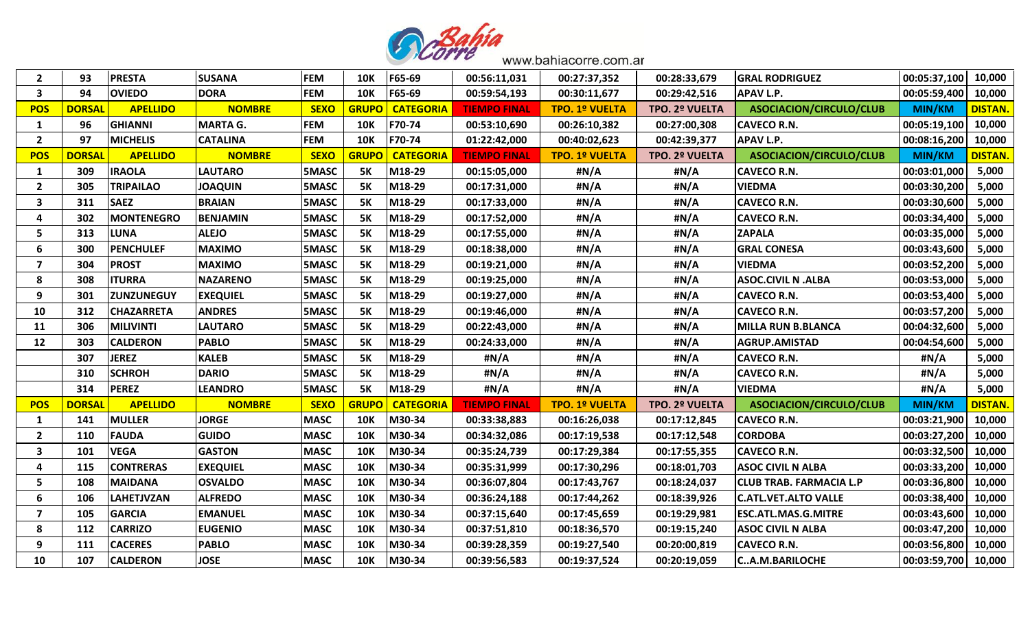

| $\overline{2}$          | 93            | <b>PRESTA</b>     | <b>SUSANA</b>   | <b>FEM</b>   | <b>10K</b>   | F65-69           | 00:56:11,031        | 00:27:37,352          | 00:28:33,679   | <b>GRAL RODRIGUEZ</b>          | 00:05:37,100  | 10,000         |
|-------------------------|---------------|-------------------|-----------------|--------------|--------------|------------------|---------------------|-----------------------|----------------|--------------------------------|---------------|----------------|
| 3                       | 94            | <b>OVIEDO</b>     | <b>DORA</b>     | <b>FEM</b>   | <b>10K</b>   | F65-69           | 00:59:54,193        | 00:30:11,677          | 00:29:42,516   | <b>APAV L.P.</b>               | 00:05:59,400  | 10,000         |
| <b>POS</b>              | <b>DORSAI</b> | <b>APELLIDO</b>   | <b>NOMBRE</b>   | <b>SEXO</b>  | <b>GRUPC</b> | <b>CATEGORIA</b> | <b>TIEMPO FINAL</b> | <b>TPO. 1º VUELTA</b> | TPO. 2º VUELTA | ASOCIACION/CIRCULO/CLUB        | <b>MIN/KM</b> | <b>DISTAN.</b> |
| 1                       | 96            | <b>GHIANNI</b>    | <b>MARTA G.</b> | <b>FEM</b>   | <b>10K</b>   | F70-74           | 00:53:10,690        | 00:26:10,382          | 00:27:00,308   | <b>CAVECO R.N.</b>             | 00:05:19,100  | 10,000         |
| $\overline{2}$          | 97            | <b>MICHELIS</b>   | <b>CATALINA</b> | <b>FEM</b>   | <b>10K</b>   | F70-74           | 01:22:42,000        | 00:40:02,623          | 00:42:39,377   | <b>APAV L.P.</b>               | 00:08:16,200  | 10,000         |
| <b>POS</b>              | <b>DORSAL</b> | <b>APELLIDO</b>   | <b>NOMBRE</b>   | <b>SEXO</b>  | <b>GRUPO</b> | <b>CATEGORIA</b> | <b>TIEMPO FINAL</b> | <b>TPO. 1º VUELTA</b> | TPO. 2º VUELTA | ASOCIACION/CIRCULO/CLUB        | <b>MIN/KM</b> | <b>DISTAN.</b> |
| 1                       | 309           | <b>IRAOLA</b>     | <b>LAUTARO</b>  | 5MASC        | <b>5K</b>    | M18-29           | 00:15:05,000        | #N/A                  | #N/A           | <b>CAVECO R.N.</b>             | 00:03:01,000  | 5,000          |
| $\overline{2}$          | 305           | <b>TRIPAILAO</b>  | <b>JOAQUIN</b>  | 5MASC        | <b>5K</b>    | M18-29           | 00:17:31,000        | #N/A                  | #N/A           | <b>VIEDMA</b>                  | 00:03:30,200  | 5,000          |
| 3                       | 311           | <b>SAEZ</b>       | <b>BRAIAN</b>   | <b>5MASC</b> | <b>5K</b>    | M18-29           | 00:17:33,000        | #N/A                  | #N/A           | <b>CAVECO R.N.</b>             | 00:03:30,600  | 5,000          |
| 4                       | 302           | <b>MONTENEGRO</b> | <b>BENJAMIN</b> | 5MASC        | <b>5K</b>    | M18-29           | 00:17:52,000        | #N/A                  | #N/A           | <b>CAVECO R.N.</b>             | 00:03:34,400  | 5,000          |
| 5                       | 313           | <b>LUNA</b>       | <b>ALEJO</b>    | 5MASC        | <b>5K</b>    | M18-29           | 00:17:55,000        | #N/A                  | #N/A           | <b>ZAPALA</b>                  | 00:03:35,000  | 5,000          |
| 6                       | 300           | <b>PENCHULEF</b>  | <b>MAXIMO</b>   | <b>5MASC</b> | <b>5K</b>    | M18-29           | 00:18:38,000        | #N/A                  | #N/A           | <b>GRAL CONESA</b>             | 00:03:43,600  | 5,000          |
| $\overline{\mathbf{z}}$ | 304           | <b>PROST</b>      | <b>MAXIMO</b>   | 5MASC        | <b>5K</b>    | M18-29           | 00:19:21,000        | #N/A                  | #N/A           | <b>VIEDMA</b>                  | 00:03:52,200  | 5,000          |
| 8                       | 308           | <b>ITURRA</b>     | <b>NAZARENO</b> | 5MASC        | <b>5K</b>    | M18-29           | 00:19:25,000        | #N/A                  | #N/A           | <b>ASOC.CIVIL N .ALBA</b>      | 00:03:53,000  | 5,000          |
| 9                       | 301           | <b>ZUNZUNEGUY</b> | <b>EXEQUIEL</b> | <b>5MASC</b> | <b>5K</b>    | M18-29           | 00:19:27,000        | #N/A                  | #N/A           | <b>CAVECO R.N.</b>             | 00:03:53,400  | 5,000          |
| 10                      | 312           | <b>CHAZARRETA</b> | <b>ANDRES</b>   | 5MASC        | <b>5K</b>    | M18-29           | 00:19:46,000        | #N/A                  | #N/A           | <b>CAVECO R.N.</b>             | 00:03:57,200  | 5,000          |
| 11                      | 306           | <b>MILIVINTI</b>  | <b>LAUTARO</b>  | 5MASC        | <b>5K</b>    | M18-29           | 00:22:43,000        | #N/A                  | #N/A           | <b>MILLA RUN B.BLANCA</b>      | 00:04:32,600  | 5,000          |
| 12                      | 303           | <b>CALDERON</b>   | <b>PABLO</b>    | <b>5MASC</b> | <b>5K</b>    | M18-29           | 00:24:33,000        | #N/A                  | #N/A           | <b>AGRUP.AMISTAD</b>           | 00:04:54,600  | 5,000          |
|                         | 307           | <b>JEREZ</b>      | <b>KALEB</b>    | 5MASC        | <b>5K</b>    | M18-29           | #N/A                | #N/A                  | #N/A           | <b>CAVECO R.N.</b>             | #N/A          | 5,000          |
|                         | 310           | <b>SCHROH</b>     | <b>DARIO</b>    | 5MASC        | <b>5K</b>    | M18-29           | #N/A                | #N/A                  | #N/A           | <b>CAVECO R.N.</b>             | #N/A          | 5,000          |
|                         | 314           | <b>PEREZ</b>      | <b>LEANDRO</b>  | <b>5MASC</b> | <b>5K</b>    | M18-29           | #N/A                | #N/A                  | #N/A           | <b>VIEDMA</b>                  | #N/A          | 5,000          |
| <b>POS</b>              | <b>DORSAI</b> | <b>APELLIDO</b>   | <b>NOMBRE</b>   | <b>SEXO</b>  | <b>GRUPC</b> | <b>CATEGORIA</b> | <b>TIEMPO FINAL</b> | <b>TPO. 1º VUELTA</b> | TPO. 2º VUELTA | <b>ASOCIACION/CIRCULO/CLUB</b> | <b>MIN/KM</b> | <b>DISTAN.</b> |
| 1                       | 141           | <b>MULLER</b>     | <b>JORGE</b>    | <b>MASC</b>  | <b>10K</b>   | M30-34           | 00:33:38,883        | 00:16:26,038          | 00:17:12,845   | <b>CAVECO R.N.</b>             | 00:03:21,900  | 10,000         |
| $\overline{2}$          | 110           | <b>FAUDA</b>      | <b>GUIDO</b>    | <b>MASC</b>  | <b>10K</b>   | M30-34           | 00:34:32,086        | 00:17:19,538          | 00:17:12,548   | <b>CORDOBA</b>                 | 00:03:27,200  | 10,000         |
| 3                       | 101           | <b>VEGA</b>       | <b>GASTON</b>   | <b>MASC</b>  | <b>10K</b>   | M30-34           | 00:35:24,739        | 00:17:29,384          | 00:17:55,355   | <b>CAVECO R.N.</b>             | 00:03:32,500  | 10,000         |
| 4                       | 115           | <b>CONTRERAS</b>  | <b>EXEQUIEL</b> | <b>MASC</b>  | <b>10K</b>   | M30-34           | 00:35:31,999        | 00:17:30,296          | 00:18:01,703   | <b>ASOC CIVIL N ALBA</b>       | 00:03:33,200  | 10,000         |
| 5                       | 108           | <b>MAIDANA</b>    | <b>OSVALDO</b>  | <b>MASC</b>  | <b>10K</b>   | M30-34           | 00:36:07,804        | 00:17:43,767          | 00:18:24,037   | <b>CLUB TRAB. FARMACIA L.P</b> | 00:03:36,800  | 10,000         |
| 6                       | 106           | <b>LAHETJVZAN</b> | <b>ALFREDO</b>  | <b>MASC</b>  | <b>10K</b>   | M30-34           | 00:36:24,188        | 00:17:44,262          | 00:18:39,926   | <b>C.ATL.VET.ALTO VALLE</b>    | 00:03:38,400  | 10,000         |
| $\overline{\mathbf{z}}$ | 105           | <b>GARCIA</b>     | <b>EMANUEL</b>  | <b>MASC</b>  | <b>10K</b>   | M30-34           | 00:37:15,640        | 00:17:45,659          | 00:19:29,981   | <b>ESC.ATL.MAS.G.MITRE</b>     | 00:03:43,600  | 10,000         |
| 8                       | 112           | <b>CARRIZO</b>    | <b>EUGENIO</b>  | <b>MASC</b>  | <b>10K</b>   | M30-34           | 00:37:51,810        | 00:18:36,570          | 00:19:15,240   | <b>ASOC CIVIL N ALBA</b>       | 00:03:47,200  | 10,000         |
| 9                       | 111           | <b>CACERES</b>    | <b>PABLO</b>    | <b>MASC</b>  | <b>10K</b>   | M30-34           | 00:39:28,359        | 00:19:27,540          | 00:20:00,819   | <b>CAVECO R.N.</b>             | 00:03:56,800  | 10,000         |
| 10                      | 107           | <b>CALDERON</b>   | <b>JOSE</b>     | <b>MASC</b>  | <b>10K</b>   | M30-34           | 00:39:56,583        | 00:19:37,524          | 00:20:19,059   | <b>CA.M.BARILOCHE</b>          | 00:03:59,700  | 10,000         |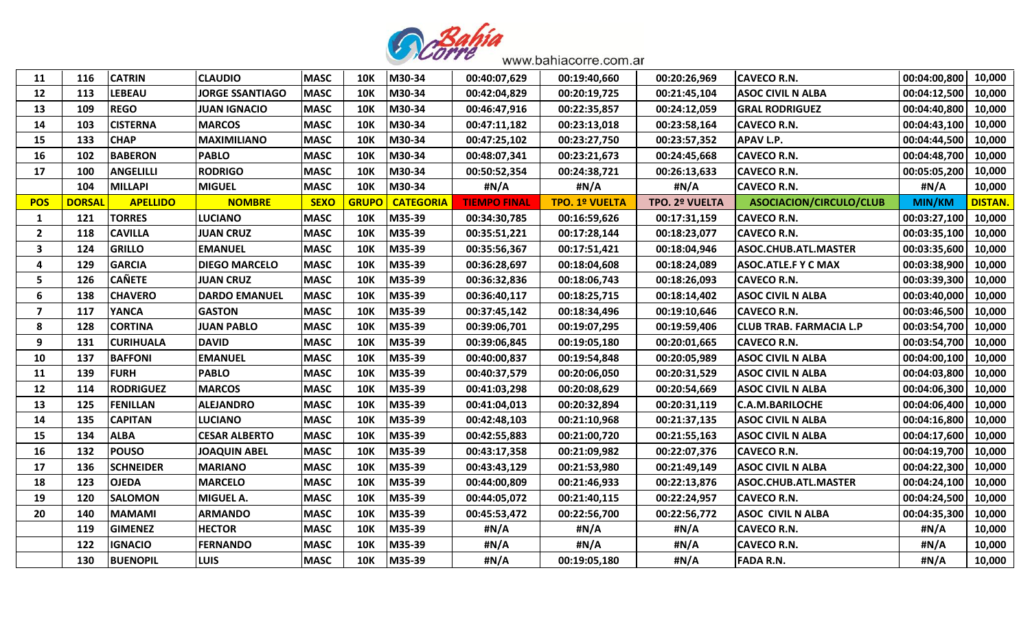

| 11             | 116           | <b>CATRIN</b>    | <b>CLAUDIO</b>         | <b>MASC</b> | <b>10K</b>   | M30-34           | 00:40:07,629        | 00:19:40,660          | 00:20:26,969   | <b>CAVECO R.N.</b>             | 00:04:00,800  | 10,000         |
|----------------|---------------|------------------|------------------------|-------------|--------------|------------------|---------------------|-----------------------|----------------|--------------------------------|---------------|----------------|
| 12             | 113           | <b>LEBEAU</b>    | <b>JORGE SSANTIAGO</b> | <b>MASC</b> | <b>10K</b>   | M30-34           | 00:42:04,829        | 00:20:19,725          | 00:21:45,104   | <b>ASOC CIVIL N ALBA</b>       | 00:04:12,500  | 10,000         |
| 13             | 109           | <b>REGO</b>      | <b>JUAN IGNACIO</b>    | <b>MASC</b> | <b>10K</b>   | M30-34           | 00:46:47,916        | 00:22:35,857          | 00:24:12,059   | <b>GRAL RODRIGUEZ</b>          | 00:04:40,800  | 10,000         |
| 14             | 103           | <b>CISTERNA</b>  | <b>MARCOS</b>          | <b>MASC</b> | <b>10K</b>   | M30-34           | 00:47:11,182        | 00:23:13,018          | 00:23:58,164   | <b>CAVECO R.N.</b>             | 00:04:43,100  | 10,000         |
| 15             | 133           | <b>CHAP</b>      | <b>MAXIMILIANO</b>     | <b>MASC</b> | <b>10K</b>   | M30-34           | 00:47:25,102        | 00:23:27,750          | 00:23:57,352   | <b>APAV L.P.</b>               | 00:04:44,500  | 10,000         |
| 16             | 102           | <b>BABERON</b>   | <b>PABLO</b>           | <b>MASC</b> | <b>10K</b>   | M30-34           | 00:48:07,341        | 00:23:21,673          | 00:24:45,668   | <b>CAVECO R.N.</b>             | 00:04:48,700  | 10,000         |
| 17             | 100           | <b>ANGELILLI</b> | <b>RODRIGO</b>         | <b>MASC</b> | <b>10K</b>   | M30-34           | 00:50:52,354        | 00:24:38,721          | 00:26:13,633   | <b>CAVECO R.N.</b>             | 00:05:05,200  | 10,000         |
|                | 104           | <b>MILLAPI</b>   | <b>MIGUEL</b>          | <b>MASC</b> | <b>10K</b>   | M30-34           | #N/A                | #N/A                  | #N/A           | <b>CAVECO R.N.</b>             | #N/A          | 10,000         |
| <b>POS</b>     | <b>DORSAI</b> | <b>APELLIDO</b>  | <b>NOMBRE</b>          | <b>SEXO</b> | <b>GRUPO</b> | <b>CATEGORIA</b> | <b>TIEMPO FINAL</b> | <b>TPO. 1º VUELTA</b> | TPO. 2º VUELTA | ASOCIACION/CIRCULO/CLUB        | <b>MIN/KM</b> | <b>DISTAN.</b> |
| 1              | 121           | <b>TORRES</b>    | <b>LUCIANO</b>         | <b>MASC</b> | <b>10K</b>   | M35-39           | 00:34:30,785        | 00:16:59,626          | 00:17:31,159   | <b>CAVECO R.N.</b>             | 00:03:27,100  | 10,000         |
| $\overline{2}$ | 118           | <b>CAVILLA</b>   | <b>JUAN CRUZ</b>       | <b>MASC</b> | <b>10K</b>   | M35-39           | 00:35:51,221        | 00:17:28,144          | 00:18:23,077   | <b>CAVECO R.N.</b>             | 00:03:35,100  | 10,000         |
| 3              | 124           | <b>GRILLO</b>    | <b>EMANUEL</b>         | <b>MASC</b> | <b>10K</b>   | M35-39           | 00:35:56,367        | 00:17:51,421          | 00:18:04,946   | <b>ASOC.CHUB.ATL.MASTER</b>    | 00:03:35,600  | 10,000         |
| 4              | 129           | <b>GARCIA</b>    | <b>DIEGO MARCELO</b>   | <b>MASC</b> | <b>10K</b>   | M35-39           | 00:36:28,697        | 00:18:04,608          | 00:18:24,089   | <b>ASOC.ATLE.F Y C MAX</b>     | 00:03:38,900  | 10,000         |
| 5              | 126           | <b>CAÑETE</b>    | <b>JUAN CRUZ</b>       | <b>MASC</b> | <b>10K</b>   | M35-39           | 00:36:32,836        | 00:18:06,743          | 00:18:26,093   | <b>CAVECO R.N.</b>             | 00:03:39,300  | 10,000         |
| 6              | 138           | <b>CHAVERO</b>   | <b>DARDO EMANUEL</b>   | <b>MASC</b> | <b>10K</b>   | M35-39           | 00:36:40,117        | 00:18:25,715          | 00:18:14,402   | <b>ASOC CIVIL N ALBA</b>       | 00:03:40,000  | 10,000         |
| 7              | 117           | <b>YANCA</b>     | <b>GASTON</b>          | <b>MASC</b> | <b>10K</b>   | M35-39           | 00:37:45,142        | 00:18:34,496          | 00:19:10,646   | <b>CAVECO R.N.</b>             | 00:03:46,500  | 10,000         |
| 8              | 128           | <b>CORTINA</b>   | <b>JUAN PABLO</b>      | <b>MASC</b> | <b>10K</b>   | M35-39           | 00:39:06,701        | 00:19:07,295          | 00:19:59,406   | <b>CLUB TRAB. FARMACIA L.P</b> | 00:03:54,700  | 10,000         |
| 9              | 131           | <b>CURIHUALA</b> | <b>DAVID</b>           | <b>MASC</b> | <b>10K</b>   | M35-39           | 00:39:06,845        | 00:19:05,180          | 00:20:01,665   | <b>CAVECO R.N.</b>             | 00:03:54,700  | 10,000         |
| 10             | 137           | <b>BAFFONI</b>   | <b>EMANUEL</b>         | <b>MASC</b> | <b>10K</b>   | M35-39           | 00:40:00,837        | 00:19:54,848          | 00:20:05,989   | <b>ASOC CIVIL N ALBA</b>       | 00:04:00,100  | 10,000         |
| 11             | 139           | <b>FURH</b>      | <b>PABLO</b>           | <b>MASC</b> | <b>10K</b>   | M35-39           | 00:40:37,579        | 00:20:06,050          | 00:20:31,529   | <b>ASOC CIVIL N ALBA</b>       | 00:04:03,800  | 10,000         |
| 12             | 114           | <b>RODRIGUEZ</b> | <b>MARCOS</b>          | <b>MASC</b> | <b>10K</b>   | M35-39           | 00:41:03,298        | 00:20:08,629          | 00:20:54,669   | <b>ASOC CIVIL N ALBA</b>       | 00:04:06,300  | 10,000         |
| 13             | 125           | <b>FENILLAN</b>  | <b>ALEJANDRO</b>       | <b>MASC</b> | <b>10K</b>   | M35-39           | 00:41:04,013        | 00:20:32,894          | 00:20:31,119   | <b>C.A.M.BARILOCHE</b>         | 00:04:06,400  | 10,000         |
| 14             | 135           | <b>CAPITAN</b>   | <b>LUCIANO</b>         | <b>MASC</b> | <b>10K</b>   | M35-39           | 00:42:48,103        | 00:21:10,968          | 00:21:37,135   | <b>ASOC CIVIL N ALBA</b>       | 00:04:16,800  | 10,000         |
| 15             | 134           | <b>ALBA</b>      | <b>CESAR ALBERTO</b>   | <b>MASC</b> | <b>10K</b>   | M35-39           | 00:42:55,883        | 00:21:00,720          | 00:21:55,163   | <b>ASOC CIVIL N ALBA</b>       | 00:04:17,600  | 10,000         |
| 16             | 132           | <b>POUSO</b>     | <b>JOAQUIN ABEL</b>    | <b>MASC</b> | <b>10K</b>   | M35-39           | 00:43:17,358        | 00:21:09,982          | 00:22:07,376   | <b>CAVECO R.N.</b>             | 00:04:19,700  | 10,000         |
| 17             | 136           | <b>SCHNEIDER</b> | <b>MARIANO</b>         | <b>MASC</b> | <b>10K</b>   | M35-39           | 00:43:43,129        | 00:21:53,980          | 00:21:49,149   | <b>ASOC CIVIL N ALBA</b>       | 00:04:22,300  | 10,000         |
| 18             | 123           | <b>OJEDA</b>     | <b>MARCELO</b>         | <b>MASC</b> | <b>10K</b>   | M35-39           | 00:44:00,809        | 00:21:46,933          | 00:22:13,876   | <b>ASOC.CHUB.ATL.MASTER</b>    | 00:04:24,100  | 10,000         |
| 19             | 120           | <b>SALOMON</b>   | MIGUEL A.              | <b>MASC</b> | <b>10K</b>   | M35-39           | 00:44:05,072        | 00:21:40,115          | 00:22:24,957   | <b>CAVECO R.N.</b>             | 00:04:24,500  | 10,000         |
| 20             | 140           | <b>MAMAMI</b>    | <b>ARMANDO</b>         | <b>MASC</b> | <b>10K</b>   | M35-39           | 00:45:53,472        | 00:22:56,700          | 00:22:56,772   | <b>ASOC CIVIL N ALBA</b>       | 00:04:35,300  | 10,000         |
|                | 119           | <b>GIMENEZ</b>   | <b>HECTOR</b>          | <b>MASC</b> | <b>10K</b>   | M35-39           | #N/A                | #N/A                  | #N/A           | <b>CAVECO R.N.</b>             | #N/A          | 10,000         |
|                | 122           | <b>IGNACIO</b>   | <b>FERNANDO</b>        | <b>MASC</b> | <b>10K</b>   | M35-39           | #N/A                | #N/A                  | #N/A           | <b>CAVECO R.N.</b>             | #N/A          | 10,000         |
|                | 130           | <b>BUENOPIL</b>  | <b>LUIS</b>            | <b>MASC</b> | <b>10K</b>   | M35-39           | #N/A                | 00:19:05,180          | #N/A           | <b>FADA R.N.</b>               | #N/A          | 10,000         |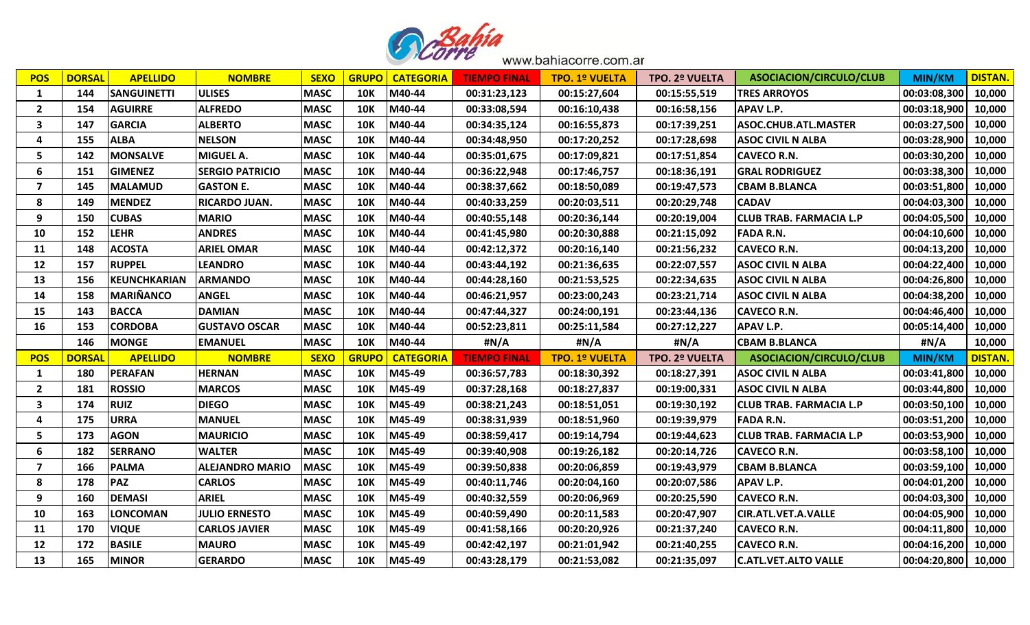

| <b>POS</b>              | <b>DORSAL</b> | <b>APELLIDO</b>     | <b>NOMBRE</b>          | <b>SEXO</b> | <b>GRUPO</b> | <b>CATEGORIA</b> | <b>TIEMPO FINAL</b> | <b>TPO. 1º VUELTA</b> | <b>TPO. 2º VUELTA</b> | ASOCIACION/CIRCULO/CLUB        | <b>MIN/KM</b> | <b>DISTAN.</b> |
|-------------------------|---------------|---------------------|------------------------|-------------|--------------|------------------|---------------------|-----------------------|-----------------------|--------------------------------|---------------|----------------|
| 1                       | 144           | <b>SANGUINETTI</b>  | <b>ULISES</b>          | <b>MASC</b> | <b>10K</b>   | M40-44           | 00:31:23,123        | 00:15:27,604          | 00:15:55,519          | <b>TRES ARROYOS</b>            | 00:03:08,300  | 10,000         |
| $\overline{2}$          | 154           | <b>AGUIRRE</b>      | <b>ALFREDO</b>         | <b>MASC</b> | <b>10K</b>   | M40-44           | 00:33:08,594        | 00:16:10,438          | 00:16:58,156          | <b>APAV L.P.</b>               | 00:03:18,900  | 10,000         |
| 3                       | 147           | <b>GARCIA</b>       | <b>ALBERTO</b>         | <b>MASC</b> | <b>10K</b>   | M40-44           | 00:34:35,124        | 00:16:55,873          | 00:17:39,251          | ASOC.CHUB.ATL.MASTER           | 00:03:27,500  | 10,000         |
| $\boldsymbol{4}$        | 155           | <b>ALBA</b>         | <b>NELSON</b>          | <b>MASC</b> | <b>10K</b>   | M40-44           | 00:34:48,950        | 00:17:20,252          | 00:17:28,698          | <b>ASOC CIVIL N ALBA</b>       | 00:03:28,900  | 10,000         |
| 5                       | 142           | <b>MONSALVE</b>     | <b>MIGUEL A.</b>       | <b>MASC</b> | <b>10K</b>   | M40-44           | 00:35:01,675        | 00:17:09,821          | 00:17:51,854          | <b>CAVECO R.N.</b>             | 00:03:30,200  | 10,000         |
| 6                       | 151           | <b>GIMENEZ</b>      | <b>SERGIO PATRICIO</b> | <b>MASC</b> | <b>10K</b>   | M40-44           | 00:36:22,948        | 00:17:46,757          | 00:18:36,191          | <b>GRAL RODRIGUEZ</b>          | 00:03:38,300  | 10,000         |
| 7                       | 145           | <b>MALAMUD</b>      | <b>GASTON E.</b>       | <b>MASC</b> | <b>10K</b>   | M40-44           | 00:38:37,662        | 00:18:50,089          | 00:19:47,573          | <b>CBAM B.BLANCA</b>           | 00:03:51,800  | 10,000         |
| 8                       | 149           | <b>MENDEZ</b>       | <b>RICARDO JUAN.</b>   | <b>MASC</b> | <b>10K</b>   | M40-44           | 00:40:33,259        | 00:20:03,511          | 00:20:29,748          | <b>CADAV</b>                   | 00:04:03,300  | 10,000         |
| 9                       | 150           | <b>CUBAS</b>        | <b>MARIO</b>           | <b>MASC</b> | <b>10K</b>   | M40-44           | 00:40:55,148        | 00:20:36,144          | 00:20:19,004          | <b>CLUB TRAB. FARMACIA L.P</b> | 00:04:05,500  | 10,000         |
| 10                      | 152           | <b>LEHR</b>         | <b>ANDRES</b>          | <b>MASC</b> | <b>10K</b>   | M40-44           | 00:41:45,980        | 00:20:30,888          | 00:21:15,092          | <b>FADA R.N.</b>               | 00:04:10,600  | 10,000         |
| 11                      | 148           | <b>ACOSTA</b>       | <b>ARIEL OMAR</b>      | <b>MASC</b> | <b>10K</b>   | M40-44           | 00:42:12,372        | 00:20:16,140          | 00:21:56,232          | <b>CAVECO R.N.</b>             | 00:04:13,200  | 10,000         |
| 12                      | 157           | <b>RUPPEL</b>       | <b>LEANDRO</b>         | <b>MASC</b> | <b>10K</b>   | M40-44           | 00:43:44,192        | 00:21:36,635          | 00:22:07,557          | <b>ASOC CIVIL N ALBA</b>       | 00:04:22,400  | 10,000         |
| 13                      | 156           | <b>KEUNCHKARIAN</b> | <b>ARMANDO</b>         | <b>MASC</b> | <b>10K</b>   | M40-44           | 00:44:28,160        | 00:21:53,525          | 00:22:34,635          | <b>ASOC CIVIL N ALBA</b>       | 00:04:26,800  | 10,000         |
| 14                      | 158           | <b>MARIÑANCO</b>    | <b>ANGEL</b>           | <b>MASC</b> | <b>10K</b>   | M40-44           | 00:46:21,957        | 00:23:00,243          | 00:23:21,714          | <b>ASOC CIVIL N ALBA</b>       | 00:04:38,200  | 10,000         |
| 15                      | 143           | <b>BACCA</b>        | <b>DAMIAN</b>          | <b>MASC</b> | <b>10K</b>   | M40-44           | 00:47:44,327        | 00:24:00,191          | 00:23:44,136          | <b>CAVECO R.N.</b>             | 00:04:46,400  | 10,000         |
| 16                      | 153           | <b>CORDOBA</b>      | <b>GUSTAVO OSCAR</b>   | <b>MASC</b> | <b>10K</b>   | M40-44           | 00:52:23,811        | 00:25:11,584          | 00:27:12,227          | <b>APAV L.P.</b>               | 00:05:14,400  | 10,000         |
|                         | 146           | <b>MONGE</b>        | <b>EMANUEL</b>         | <b>MASC</b> | <b>10K</b>   | M40-44           | #N/A                | #N/A                  | #N/A                  | <b>CBAM B.BLANCA</b>           | #N/A          | 10,000         |
| <b>POS</b>              | <b>DORSAI</b> | <b>APELLIDO</b>     | <b>NOMBRE</b>          | <b>SEXO</b> | <b>GRUPO</b> | <b>CATEGORIA</b> | <b>TIEMPO FINAL</b> | <b>TPO. 1º VUELTA</b> | TPO. 2º VUELTA        | ASOCIACION/CIRCULO/CLUB        | <b>MIN/KM</b> | <b>DISTAN.</b> |
| $\mathbf{1}$            | 180           | <b>PERAFAN</b>      | <b>HERNAN</b>          | <b>MASC</b> | <b>10K</b>   | M45-49           | 00:36:57,783        | 00:18:30,392          | 00:18:27,391          | <b>ASOC CIVIL N ALBA</b>       | 00:03:41,800  | 10,000         |
| $\overline{2}$          | 181           | <b>ROSSIO</b>       | <b>MARCOS</b>          | <b>MASC</b> | <b>10K</b>   | M45-49           | 00:37:28,168        | 00:18:27,837          | 00:19:00,331          | <b>ASOC CIVIL N ALBA</b>       | 00:03:44,800  | 10,000         |
| 3                       | 174           | <b>RUIZ</b>         | <b>DIEGO</b>           | <b>MASC</b> | <b>10K</b>   | M45-49           | 00:38:21,243        | 00:18:51,051          | 00:19:30,192          | <b>CLUB TRAB. FARMACIA L.P</b> | 00:03:50,100  | 10,000         |
| $\boldsymbol{4}$        | 175           | <b>URRA</b>         | <b>MANUEL</b>          | <b>MASC</b> | <b>10K</b>   | M45-49           | 00:38:31,939        | 00:18:51,960          | 00:19:39,979          | <b>FADA R.N.</b>               | 00:03:51,200  | 10,000         |
| 5                       | 173           | <b>AGON</b>         | <b>MAURICIO</b>        | <b>MASC</b> | <b>10K</b>   | M45-49           | 00:38:59,417        | 00:19:14,794          | 00:19:44,623          | <b>CLUB TRAB. FARMACIA L.P</b> | 00:03:53,900  | 10,000         |
| 6                       | 182           | <b>SERRANO</b>      | <b>WALTER</b>          | <b>MASC</b> | <b>10K</b>   | M45-49           | 00:39:40,908        | 00:19:26,182          | 00:20:14,726          | <b>CAVECO R.N.</b>             | 00:03:58,100  | 10,000         |
| $\overline{\mathbf{z}}$ | 166           | <b>PALMA</b>        | <b>ALEJANDRO MARIO</b> | <b>MASC</b> | <b>10K</b>   | M45-49           | 00:39:50,838        | 00:20:06,859          | 00:19:43,979          | <b>CBAM B.BLANCA</b>           | 00:03:59,100  | 10,000         |
| 8                       | 178           | <b>PAZ</b>          | <b>CARLOS</b>          | <b>MASC</b> | <b>10K</b>   | M45-49           | 00:40:11,746        | 00:20:04,160          | 00:20:07,586          | <b>APAV L.P.</b>               | 00:04:01,200  | 10,000         |
| 9                       | 160           | <b>DEMASI</b>       | <b>ARIEL</b>           | <b>MASC</b> | <b>10K</b>   | M45-49           | 00:40:32,559        | 00:20:06,969          | 00:20:25,590          | <b>CAVECO R.N.</b>             | 00:04:03,300  | 10,000         |
| 10                      | 163           | <b>LONCOMAN</b>     | <b>JULIO ERNESTO</b>   | <b>MASC</b> | <b>10K</b>   | M45-49           | 00:40:59,490        | 00:20:11,583          | 00:20:47,907          | <b>CIR.ATL.VET.A.VALLE</b>     | 00:04:05,900  | 10,000         |
| 11                      | 170           | <b>VIQUE</b>        | <b>CARLOS JAVIER</b>   | <b>MASC</b> | <b>10K</b>   | M45-49           | 00:41:58,166        | 00:20:20,926          | 00:21:37,240          | <b>CAVECO R.N.</b>             | 00:04:11,800  | 10,000         |
| 12                      | 172           | <b>BASILE</b>       | <b>MAURO</b>           | <b>MASC</b> | <b>10K</b>   | M45-49           | 00:42:42,197        | 00:21:01,942          | 00:21:40,255          | <b>CAVECO R.N.</b>             | 00:04:16,200  | 10,000         |
| 13                      | 165           | <b>MINOR</b>        | <b>GERARDO</b>         | <b>MASC</b> | <b>10K</b>   | M45-49           | 00:43:28,179        | 00:21:53,082          | 00:21:35,097          | <b>C.ATL.VET.ALTO VALLE</b>    | 00:04:20,800  | 10,000         |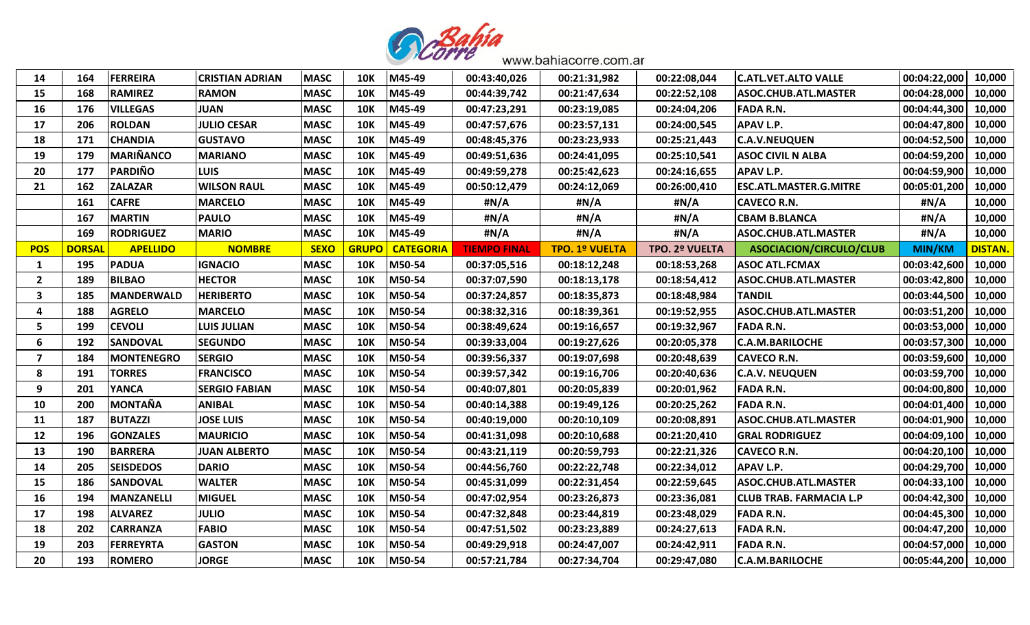

| 14             | 164           | <b>FERREIRA</b>   | <b>CRISTIAN ADRIAN</b> | <b>MASC</b> | <b>10K</b>   | M45-49           | 00:43:40,026        | 00:21:31,982          | 00:22:08,044   | <b>C.ATL.VET.ALTO VALLE</b>    | 00:04:22,000  | 10,000         |
|----------------|---------------|-------------------|------------------------|-------------|--------------|------------------|---------------------|-----------------------|----------------|--------------------------------|---------------|----------------|
| 15             | 168           | <b>RAMIREZ</b>    | <b>RAMON</b>           | <b>MASC</b> | <b>10K</b>   | M45-49           | 00:44:39,742        | 00:21:47,634          | 00:22:52,108   | <b>ASOC.CHUB.ATL.MASTER</b>    | 00:04:28,000  | 10,000         |
| 16             | 176           | <b>VILLEGAS</b>   | <b>JUAN</b>            | <b>MASC</b> | <b>10K</b>   | M45-49           | 00:47:23,291        | 00:23:19,085          | 00:24:04,206   | <b>FADA R.N.</b>               | 00:04:44,300  | 10,000         |
| 17             | 206           | <b>ROLDAN</b>     | <b>JULIO CESAR</b>     | <b>MASC</b> | <b>10K</b>   | M45-49           | 00:47:57,676        | 00:23:57,131          | 00:24:00,545   | <b>APAV L.P.</b>               | 00:04:47,800  | 10,000         |
| 18             | 171           | <b>CHANDIA</b>    | <b>GUSTAVO</b>         | <b>MASC</b> | <b>10K</b>   | M45-49           | 00:48:45,376        | 00:23:23,933          | 00:25:21,443   | <b>C.A.V.NEUQUEN</b>           | 00:04:52,500  | 10,000         |
| 19             | 179           | <b>MARIÑANCO</b>  | <b>MARIANO</b>         | <b>MASC</b> | <b>10K</b>   | M45-49           | 00:49:51,636        | 00:24:41,095          | 00:25:10,541   | <b>ASOC CIVIL N ALBA</b>       | 00:04:59,200  | 10,000         |
| 20             | 177           | <b>PARDIÑO</b>    | <b>LUIS</b>            | <b>MASC</b> | <b>10K</b>   | M45-49           | 00:49:59,278        | 00:25:42,623          | 00:24:16,655   | <b>APAV L.P.</b>               | 00:04:59,900  | 10,000         |
| 21             | 162           | <b>ZALAZAR</b>    | <b>WILSON RAUL</b>     | <b>MASC</b> | <b>10K</b>   | M45-49           | 00:50:12,479        | 00:24:12,069          | 00:26:00,410   | <b>ESC.ATL.MASTER.G.MITRE</b>  | 00:05:01,200  | 10,000         |
|                | 161           | <b>CAFRE</b>      | <b>MARCELO</b>         | <b>MASC</b> | <b>10K</b>   | M45-49           | #N/A                | #N/A                  | #N/A           | <b>CAVECO R.N.</b>             | #N/A          | 10,000         |
|                | 167           | <b>MARTIN</b>     | <b>PAULO</b>           | <b>MASC</b> | <b>10K</b>   | M45-49           | #N/A                | #N/A                  | #N/A           | <b>CBAM B.BLANCA</b>           | #N/A          | 10,000         |
|                | 169           | <b>RODRIGUEZ</b>  | <b>MARIO</b>           | <b>MASC</b> | <b>10K</b>   | M45-49           | #N/A                | #N/A                  | #N/A           | ASOC.CHUB.ATL.MASTER           | #N/A          | 10,000         |
| <b>POS</b>     | <b>DORSAI</b> | <b>APELLIDO</b>   | <b>NOMBRE</b>          | <b>SEXO</b> | <b>GRUPO</b> | <b>CATEGORIA</b> | <b>TIEMPO FINAL</b> | <b>TPO. 1º VUELTA</b> | TPO. 2º VUELTA | ASOCIACION/CIRCULO/CLUB        | <b>MIN/KM</b> | <b>DISTAN.</b> |
| 1              | 195           | <b>PADUA</b>      | <b>IGNACIO</b>         | <b>MASC</b> | <b>10K</b>   | M50-54           | 00:37:05,516        | 00:18:12,248          | 00:18:53,268   | <b>ASOC ATL.FCMAX</b>          | 00:03:42,600  | 10,000         |
| $\overline{2}$ | 189           | <b>BILBAO</b>     | <b>HECTOR</b>          | <b>MASC</b> | <b>10K</b>   | M50-54           | 00:37:07,590        | 00:18:13,178          | 00:18:54,412   | ASOC.CHUB.ATL.MASTER           | 00:03:42,800  | 10,000         |
| 3              | 185           | <b>MANDERWALD</b> | <b>HERIBERTO</b>       | <b>MASC</b> | <b>10K</b>   | M50-54           | 00:37:24,857        | 00:18:35,873          | 00:18:48,984   | <b>TANDIL</b>                  | 00:03:44,500  | 10,000         |
| $\overline{a}$ | 188           | <b>AGRELO</b>     | <b>MARCELO</b>         | <b>MASC</b> | <b>10K</b>   | M50-54           | 00:38:32,316        | 00:18:39,361          | 00:19:52,955   | <b>ASOC.CHUB.ATL.MASTER</b>    | 00:03:51,200  | 10,000         |
| 5              | 199           | <b>CEVOLI</b>     | <b>LUIS JULIAN</b>     | <b>MASC</b> | <b>10K</b>   | M50-54           | 00:38:49,624        | 00:19:16,657          | 00:19:32,967   | <b>FADA R.N.</b>               | 00:03:53,000  | 10,000         |
| 6              | 192           | <b>SANDOVAL</b>   | <b>SEGUNDO</b>         | <b>MASC</b> | <b>10K</b>   | M50-54           | 00:39:33,004        | 00:19:27,626          | 00:20:05,378   | <b>C.A.M.BARILOCHE</b>         | 00:03:57,300  | 10,000         |
| 7              | 184           | MONTENEGRO        | <b>SERGIO</b>          | <b>MASC</b> | <b>10K</b>   | M50-54           | 00:39:56,337        | 00:19:07,698          | 00:20:48,639   | <b>CAVECO R.N.</b>             | 00:03:59,600  | 10,000         |
| 8              | 191           | <b>TORRES</b>     | <b>FRANCISCO</b>       | <b>MASC</b> | <b>10K</b>   | M50-54           | 00:39:57,342        | 00:19:16,706          | 00:20:40,636   | <b>C.A.V. NEUQUEN</b>          | 00:03:59,700  | 10,000         |
| 9              | 201           | <b>YANCA</b>      | <b>SERGIO FABIAN</b>   | <b>MASC</b> | <b>10K</b>   | M50-54           | 00:40:07,801        | 00:20:05,839          | 00:20:01,962   | <b>FADA R.N.</b>               | 00:04:00,800  | 10,000         |
| 10             | 200           | <b>MONTAÑA</b>    | <b>ANIBAL</b>          | <b>MASC</b> | <b>10K</b>   | M50-54           | 00:40:14,388        | 00:19:49,126          | 00:20:25,262   | <b>FADA R.N.</b>               | 00:04:01,400  | 10,000         |
| <b>11</b>      | 187           | <b>BUTAZZI</b>    | <b>JOSE LUIS</b>       | <b>MASC</b> | <b>10K</b>   | M50-54           | 00:40:19,000        | 00:20:10,109          | 00:20:08,891   | ASOC.CHUB.ATL.MASTER           | 00:04:01,900  | 10,000         |
| 12             | 196           | <b>GONZALES</b>   | <b>MAURICIO</b>        | <b>MASC</b> | <b>10K</b>   | M50-54           | 00:41:31,098        | 00:20:10,688          | 00:21:20,410   | <b>GRAL RODRIGUEZ</b>          | 00:04:09,100  | 10,000         |
| 13             | 190           | <b>BARRERA</b>    | <b>JUAN ALBERTO</b>    | <b>MASC</b> | <b>10K</b>   | M50-54           | 00:43:21,119        | 00:20:59,793          | 00:22:21,326   | <b>CAVECO R.N.</b>             | 00:04:20,100  | 10,000         |
| 14             | 205           | <b>SEISDEDOS</b>  | <b>DARIO</b>           | <b>MASC</b> | <b>10K</b>   | M50-54           | 00:44:56,760        | 00:22:22,748          | 00:22:34,012   | <b>APAV L.P.</b>               | 00:04:29,700  | 10,000         |
| 15             | 186           | <b>SANDOVAL</b>   | <b>WALTER</b>          | <b>MASC</b> | <b>10K</b>   | M50-54           | 00:45:31,099        | 00:22:31,454          | 00:22:59,645   | <b>ASOC.CHUB.ATL.MASTER</b>    | 00:04:33,100  | 10,000         |
| 16             | 194           | <b>MANZANELLI</b> | <b>MIGUEL</b>          | <b>MASC</b> | <b>10K</b>   | M50-54           | 00:47:02,954        | 00:23:26,873          | 00:23:36,081   | <b>CLUB TRAB. FARMACIA L.P</b> | 00:04:42,300  | 10,000         |
| 17             | 198           | <b>ALVAREZ</b>    | <b>JULIO</b>           | <b>MASC</b> | <b>10K</b>   | M50-54           | 00:47:32,848        | 00:23:44,819          | 00:23:48,029   | <b>FADA R.N.</b>               | 00:04:45,300  | 10,000         |
| 18             | 202           | <b>CARRANZA</b>   | <b>FABIO</b>           | <b>MASC</b> | <b>10K</b>   | M50-54           | 00:47:51,502        | 00:23:23,889          | 00:24:27,613   | <b>FADA R.N.</b>               | 00:04:47,200  | 10,000         |
| 19             | 203           | <b>FERREYRTA</b>  | <b>GASTON</b>          | <b>MASC</b> | <b>10K</b>   | M50-54           | 00:49:29,918        | 00:24:47,007          | 00:24:42,911   | <b>FADA R.N.</b>               | 00:04:57,000  | 10,000         |
| 20             | 193           | <b>ROMERO</b>     | <b>JORGE</b>           | <b>MASC</b> | <b>10K</b>   | M50-54           | 00:57:21,784        | 00:27:34,704          | 00:29:47,080   | <b>C.A.M.BARILOCHE</b>         | 00:05:44,200  | 10,000         |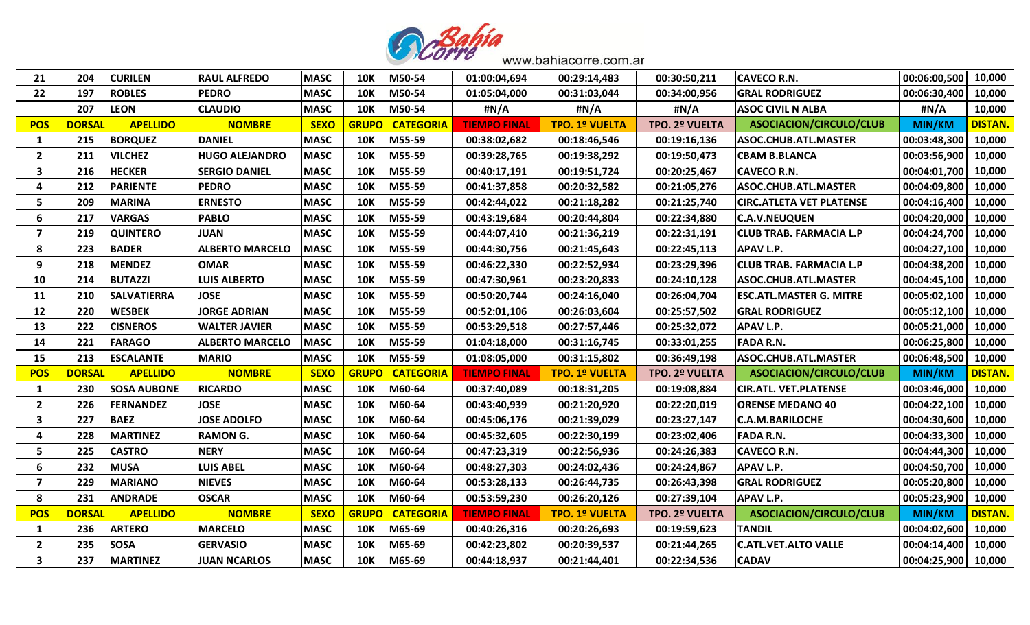

| 21                      | 204           | <b>CURILEN</b>     | <b>RAUL ALFREDO</b>    | <b>MASC</b> | <b>10K</b>   | M50-54           | 01:00:04,694        | 00:29:14,483          | 00:30:50,211   | <b>CAVECO R.N.</b>              | 00:06:00,500  | 10,000         |
|-------------------------|---------------|--------------------|------------------------|-------------|--------------|------------------|---------------------|-----------------------|----------------|---------------------------------|---------------|----------------|
| 22                      | 197           | <b>ROBLES</b>      | <b>PEDRO</b>           | <b>MASC</b> | <b>10K</b>   | M50-54           | 01:05:04,000        | 00:31:03,044          | 00:34:00,956   | <b>GRAL RODRIGUEZ</b>           | 00:06:30,400  | 10,000         |
|                         | 207           | <b>LEON</b>        | <b>CLAUDIO</b>         | <b>MASC</b> | <b>10K</b>   | M50-54           | #N/A                | #N/A                  | #N/A           | <b>ASOC CIVIL N ALBA</b>        | #N/A          | 10,000         |
| <b>POS</b>              | <b>DORSA</b>  | <b>APELLIDO</b>    | <b>NOMBRE</b>          | <b>SEXO</b> | <b>GRUP</b>  | <b>CATEGORIA</b> | <b>TIEMPO FINAL</b> | <b>TPO. 1º VUELTA</b> | TPO. 2º VUELTA | ASOCIACION/CIRCULO/CLUB         | <b>MIN/KM</b> | <b>DISTAN</b>  |
| 1                       | 215           | <b>BORQUEZ</b>     | <b>DANIEL</b>          | <b>MASC</b> | <b>10K</b>   | M55-59           | 00:38:02,682        | 00:18:46,546          | 00:19:16,136   | ASOC.CHUB.ATL.MASTER            | 00:03:48,300  | 10,000         |
| $\overline{2}$          | 211           | <b>VILCHEZ</b>     | <b>HUGO ALEJANDRO</b>  | <b>MASC</b> | <b>10K</b>   | M55-59           | 00:39:28,765        | 00:19:38,292          | 00:19:50,473   | <b>CBAM B.BLANCA</b>            | 00:03:56,900  | 10,000         |
| 3                       | 216           | <b>HECKER</b>      | <b>SERGIO DANIEL</b>   | <b>MASC</b> | <b>10K</b>   | M55-59           | 00:40:17,191        | 00:19:51,724          | 00:20:25,467   | <b>CAVECO R.N.</b>              | 00:04:01,700  | 10,000         |
| $\boldsymbol{4}$        | 212           | <b>PARIENTE</b>    | <b>PEDRO</b>           | <b>MASC</b> | <b>10K</b>   | M55-59           | 00:41:37,858        | 00:20:32,582          | 00:21:05,276   | <b>ASOC.CHUB.ATL.MASTER</b>     | 00:04:09,800  | 10,000         |
| 5                       | 209           | <b>MARINA</b>      | <b>ERNESTO</b>         | <b>MASC</b> | <b>10K</b>   | M55-59           | 00:42:44,022        | 00:21:18,282          | 00:21:25,740   | <b>CIRC.ATLETA VET PLATENSE</b> | 00:04:16,400  | 10,000         |
| 6                       | 217           | <b>VARGAS</b>      | <b>PABLO</b>           | <b>MASC</b> | <b>10K</b>   | M55-59           | 00:43:19,684        | 00:20:44,804          | 00:22:34,880   | <b>C.A.V.NEUQUEN</b>            | 00:04:20,000  | 10,000         |
| $\overline{7}$          | 219           | <b>QUINTERO</b>    | <b>JUAN</b>            | <b>MASC</b> | <b>10K</b>   | M55-59           | 00:44:07,410        | 00:21:36,219          | 00:22:31,191   | <b>CLUB TRAB. FARMACIA L.P</b>  | 00:04:24,700  | 10,000         |
| 8                       | 223           | <b>BADER</b>       | <b>ALBERTO MARCELO</b> | <b>MASC</b> | <b>10K</b>   | M55-59           | 00:44:30,756        | 00:21:45,643          | 00:22:45,113   | <b>APAV L.P.</b>                | 00:04:27,100  | 10,000         |
| 9                       | 218           | <b>MENDEZ</b>      | <b>OMAR</b>            | <b>MASC</b> | <b>10K</b>   | M55-59           | 00:46:22,330        | 00:22:52,934          | 00:23:29,396   | <b>CLUB TRAB. FARMACIA L.P</b>  | 00:04:38,200  | 10,000         |
| 10                      | 214           | <b>BUTAZZI</b>     | <b>LUIS ALBERTO</b>    | <b>MASC</b> | <b>10K</b>   | M55-59           | 00:47:30,961        | 00:23:20,833          | 00:24:10,128   | <b>ASOC.CHUB.ATL.MASTER</b>     | 00:04:45,100  | 10,000         |
| <b>11</b>               | 210           | <b>SALVATIERRA</b> | <b>JOSE</b>            | <b>MASC</b> | <b>10K</b>   | M55-59           | 00:50:20,744        | 00:24:16,040          | 00:26:04,704   | <b>ESC.ATL.MASTER G. MITRE</b>  | 00:05:02,100  | 10,000         |
| 12                      | 220           | <b>WESBEK</b>      | <b>JORGE ADRIAN</b>    | <b>MASC</b> | <b>10K</b>   | M55-59           | 00:52:01,106        | 00:26:03,604          | 00:25:57,502   | <b>GRAL RODRIGUEZ</b>           | 00:05:12,100  | 10,000         |
| 13                      | 222           | <b>CISNEROS</b>    | <b>WALTER JAVIER</b>   | <b>MASC</b> | <b>10K</b>   | M55-59           | 00:53:29,518        | 00:27:57,446          | 00:25:32,072   | <b>APAV L.P.</b>                | 00:05:21,000  | 10,000         |
| 14                      | 221           | <b>FARAGO</b>      | <b>ALBERTO MARCELO</b> | <b>MASC</b> | <b>10K</b>   | M55-59           | 01:04:18,000        | 00:31:16,745          | 00:33:01,255   | <b>FADA R.N.</b>                | 00:06:25,800  | 10,000         |
| 15                      | 213           | <b>ESCALANTE</b>   | <b>MARIO</b>           | <b>MASC</b> | <b>10K</b>   | M55-59           | 01:08:05,000        | 00:31:15,802          | 00:36:49,198   | <b>ASOC.CHUB.ATL.MASTER</b>     | 00:06:48,500  | 10,000         |
| <b>POS</b>              | <b>DORSAI</b> | <b>APELLIDO</b>    | <b>NOMBRE</b>          | <b>SEXO</b> | <b>GRUPO</b> | <b>CATEGORIA</b> | <b>TIEMPO FINAL</b> | <b>TPO. 1º VUELTA</b> | TPO. 2º VUELTA | ASOCIACION/CIRCULO/CLUB         | <b>MIN/KM</b> | <b>DISTAN.</b> |
| 1                       | 230           | <b>SOSA AUBONE</b> | <b>RICARDO</b>         | <b>MASC</b> | <b>10K</b>   | M60-64           | 00:37:40,089        | 00:18:31,205          | 00:19:08,884   | <b>CIR.ATL. VET.PLATENSE</b>    | 00:03:46,000  | 10,000         |
| $\overline{\mathbf{2}}$ | 226           | <b>FERNANDEZ</b>   | <b>JOSE</b>            | <b>MASC</b> | <b>10K</b>   | M60-64           |                     |                       |                |                                 |               |                |
| 3                       |               |                    |                        |             |              |                  | 00:43:40,939        | 00:21:20,920          | 00:22:20,019   | <b>ORENSE MEDANO 40</b>         | 00:04:22,100  | 10,000         |
|                         | 227           | <b>BAEZ</b>        | <b>JOSE ADOLFO</b>     | <b>MASC</b> | <b>10K</b>   | M60-64           | 00:45:06,176        | 00:21:39,029          | 00:23:27,147   | <b>C.A.M.BARILOCHE</b>          | 00:04:30,600  | 10,000         |
| $\boldsymbol{a}$        | 228           | <b>MARTINEZ</b>    | <b>RAMON G.</b>        | <b>MASC</b> | <b>10K</b>   | M60-64           | 00:45:32,605        | 00:22:30,199          | 00:23:02,406   | <b>FADA R.N.</b>                | 00:04:33,300  | 10,000         |
| 5                       | 225           | <b>CASTRO</b>      | <b>NERY</b>            | <b>MASC</b> | <b>10K</b>   | M60-64           | 00:47:23,319        | 00:22:56,936          | 00:24:26,383   | <b>CAVECO R.N.</b>              | 00:04:44,300  | 10,000         |
| 6                       | 232           | <b>MUSA</b>        | <b>LUIS ABEL</b>       | <b>MASC</b> | <b>10K</b>   | M60-64           | 00:48:27,303        | 00:24:02,436          | 00:24:24,867   | <b>APAV L.P.</b>                | 00:04:50,700  | 10,000         |
| $\overline{7}$          | 229           | <b>MARIANO</b>     | <b>NIEVES</b>          | <b>MASC</b> | <b>10K</b>   | M60-64           | 00:53:28,133        | 00:26:44,735          | 00:26:43,398   | <b>GRAL RODRIGUEZ</b>           | 00:05:20,800  | 10,000         |
| 8                       | 231           | <b>ANDRADE</b>     | <b>OSCAR</b>           | <b>MASC</b> | <b>10K</b>   | M60-64           | 00:53:59,230        | 00:26:20,126          | 00:27:39,104   | <b>APAV L.P.</b>                | 00:05:23,900  | 10,000         |
| <b>POS</b>              | <b>DORSAI</b> | <b>APELLIDO</b>    | <b>NOMBRE</b>          | <b>SEXO</b> | <b>GRUPO</b> | <b>CATEGORIA</b> | <b>TIEMPO FINAL</b> | <b>TPO. 1º VUELTA</b> | TPO. 2º VUELTA | ASOCIACION/CIRCULO/CLUB         | <b>MIN/KM</b> | <b>DISTAN.</b> |
| 1                       | 236           | <b>ARTERO</b>      | <b>MARCELO</b>         | <b>MASC</b> | <b>10K</b>   | M65-69           | 00:40:26,316        | 00:20:26,693          | 00:19:59,623   | <b>TANDIL</b>                   | 00:04:02,600  | 10,000         |
| $\overline{2}$          | 235           | <b>SOSA</b>        | <b>GERVASIO</b>        | <b>MASC</b> | <b>10K</b>   | M65-69           | 00:42:23,802        | 00:20:39,537          | 00:21:44,265   | <b>C.ATL.VET.ALTO VALLE</b>     | 00:04:14,400  | 10,000         |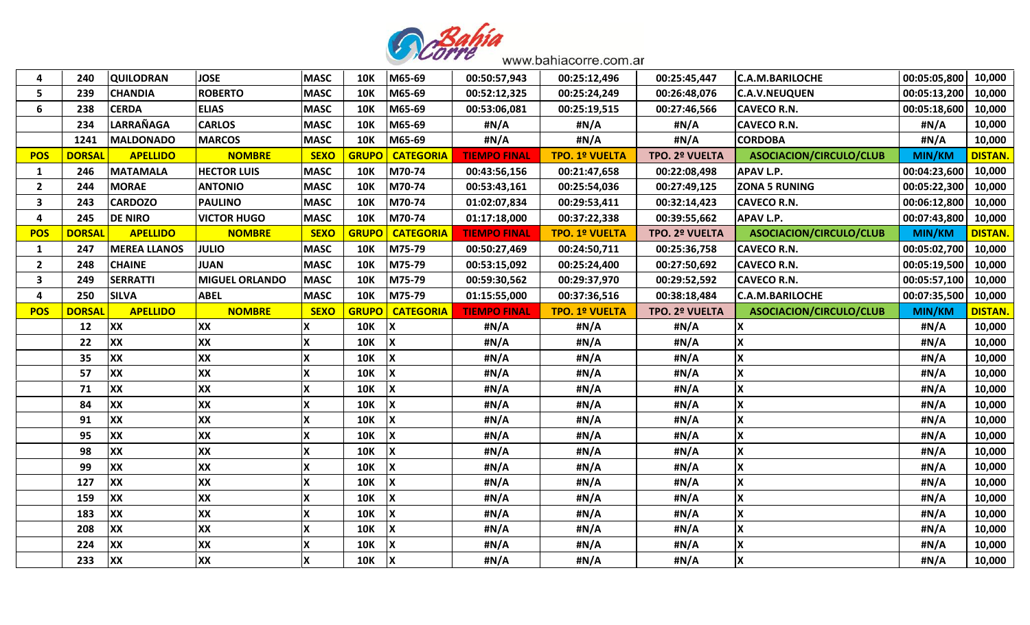

| 4                       | 240           | <b>QUILODRAN</b>    | <b>JOSE</b>           | <b>MASC</b>               | <b>10K</b>   | M65-69           | 00:50:57,943        | 00:25:12,496          | 00:25:45,447   | <b>C.A.M.BARILOCHE</b>  | 00:05:05,800  | 10,000         |
|-------------------------|---------------|---------------------|-----------------------|---------------------------|--------------|------------------|---------------------|-----------------------|----------------|-------------------------|---------------|----------------|
| 5                       | 239           | <b>CHANDIA</b>      | <b>ROBERTO</b>        | <b>MASC</b>               | <b>10K</b>   | M65-69           | 00:52:12,325        | 00:25:24,249          | 00:26:48,076   | <b>C.A.V.NEUQUEN</b>    | 00:05:13,200  | 10,000         |
| 6                       | 238           | <b>CERDA</b>        | <b>ELIAS</b>          | <b>MASC</b>               | <b>10K</b>   | M65-69           | 00:53:06,081        | 00:25:19,515          | 00:27:46,566   | <b>CAVECO R.N.</b>      | 00:05:18,600  | 10,000         |
|                         | 234           | <b>LARRAÑAGA</b>    | <b>CARLOS</b>         | <b>MASC</b>               | <b>10K</b>   | M65-69           | #N/A                | #N/A                  | #N/A           | <b>CAVECO R.N.</b>      | #N/A          | 10,000         |
|                         | 1241          | MALDONADO           | <b>MARCOS</b>         | <b>MASC</b>               | <b>10K</b>   | M65-69           | #N/A                | #N/A                  | #N/A           | <b>CORDOBA</b>          | #N/A          | 10,000         |
| <b>POS</b>              | <b>DORSAL</b> | <b>APELLIDO</b>     | <b>NOMBRE</b>         | <b>SEXO</b>               | <b>GRUPO</b> | <b>CATEGORIA</b> | <b>TIEMPO FINAL</b> | <b>TPO. 1º VUELTA</b> | TPO. 2º VUELTA | ASOCIACION/CIRCULO/CLUB | <b>MIN/KM</b> | <b>DISTAN.</b> |
| 1                       | 246           | <b>MATAMALA</b>     | <b>HECTOR LUIS</b>    | <b>MASC</b>               | <b>10K</b>   | M70-74           | 00:43:56,156        | 00:21:47,658          | 00:22:08,498   | <b>APAV L.P.</b>        | 00:04:23,600  | 10,000         |
| $\overline{2}$          | 244           | <b>MORAE</b>        | <b>ANTONIO</b>        | <b>MASC</b>               | <b>10K</b>   | M70-74           | 00:53:43,161        | 00:25:54,036          | 00:27:49,125   | <b>ZONA 5 RUNING</b>    | 00:05:22,300  | 10,000         |
| $\overline{\mathbf{3}}$ | 243           | <b>CARDOZO</b>      | <b>PAULINO</b>        | <b>MASC</b>               | <b>10K</b>   | M70-74           | 01:02:07,834        | 00:29:53,411          | 00:32:14,423   | <b>CAVECO R.N.</b>      | 00:06:12,800  | 10,000         |
| 4                       | 245           | <b>DE NIRO</b>      | <b>VICTOR HUGO</b>    | <b>MASC</b>               | <b>10K</b>   | M70-74           | 01:17:18,000        | 00:37:22,338          | 00:39:55,662   | <b>APAV L.P.</b>        | 00:07:43,800  | 10,000         |
| <b>POS</b>              | <b>DORSAL</b> | <b>APELLIDO</b>     | <b>NOMBRE</b>         | <b>SEXO</b>               | <b>GRUPO</b> | <b>CATEGORIA</b> | <b>TIEMPO FINAL</b> | <b>TPO. 1º VUELTA</b> | TPO. 2º VUELTA | ASOCIACION/CIRCULO/CLUB | MIN/KM        | <b>DISTAN.</b> |
| 1                       | 247           | <b>MEREA LLANOS</b> | <b>JULIO</b>          | <b>MASC</b>               | <b>10K</b>   | M75-79           | 00:50:27,469        | 00:24:50,711          | 00:25:36,758   | <b>CAVECO R.N.</b>      | 00:05:02,700  | 10,000         |
| $\overline{2}$          | 248           | <b>CHAINE</b>       | <b>JUAN</b>           | <b>MASC</b>               | <b>10K</b>   | M75-79           | 00:53:15,092        | 00:25:24,400          | 00:27:50,692   | <b>CAVECO R.N.</b>      | 00:05:19,500  | 10,000         |
| $\overline{\mathbf{3}}$ | 249           | <b>SERRATTI</b>     | <b>MIGUEL ORLANDO</b> | <b>MASC</b>               | <b>10K</b>   | M75-79           | 00:59:30,562        | 00:29:37,970          | 00:29:52,592   | <b>CAVECO R.N.</b>      | 00:05:57,100  | 10,000         |
| 4                       | 250           | <b>SILVA</b>        | <b>ABEL</b>           | <b>MASC</b>               | <b>10K</b>   | M75-79           | 01:15:55,000        | 00:37:36,516          | 00:38:18,484   | <b>C.A.M.BARILOCHE</b>  | 00:07:35,500  | 10,000         |
| <b>POS</b>              | <b>DORSAI</b> | <b>APELLIDO</b>     | <b>NOMBRE</b>         | <b>SEXO</b>               | <b>GRUPO</b> | <b>CATEGORIA</b> | <b>TIEMPO FINAL</b> | <b>TPO. 1º VUELTA</b> | TPO. 2º VUELTA | ASOCIACION/CIRCULO/CLUB | <b>MIN/KM</b> | <b>DISTAN.</b> |
|                         |               |                     |                       |                           |              |                  |                     |                       |                |                         |               |                |
|                         | 12            | <b>XX</b>           | XX                    | Χ                         | <b>10K</b>   |                  | #N/A                | #N/A                  | #N/A           | X                       | #N/A          | 10,000         |
|                         | 22            | <b>XX</b>           | XX                    | X                         | <b>10K</b>   |                  | #N/A                | #N/A                  | #N/A           | X                       | #N/A          | 10,000         |
|                         | 35            | <b>XX</b>           | XX                    | X                         | <b>10K</b>   |                  | #N/A                | #N/A                  | #N/A           | X                       | #N/A          | 10,000         |
|                         | 57            | <b>XX</b>           | XX                    |                           | <b>10K</b>   |                  | #N/A                | #N/A                  | #N/A           | X                       | #N/A          | 10,000         |
|                         | 71            | <b>XX</b>           | XX                    | X                         | <b>10K</b>   |                  | #N/A                | #N/A                  | #N/A           | X                       | #N/A          | 10,000         |
|                         | 84            | <b>XX</b>           | XX                    | X                         | <b>10K</b>   |                  | #N/A                | #N/A                  | #N/A           | X                       | #N/A          | 10,000         |
|                         | 91            | <b>XX</b>           | XX                    | X                         | <b>10K</b>   |                  | #N/A                | #N/A                  | #N/A           | X                       | #N/A          | 10,000         |
|                         | 95            | <b>XX</b>           | XX                    | $\boldsymbol{\mathsf{x}}$ | <b>10K</b>   |                  | #N/A                | #N/A                  | #N/A           | X                       | #N/A          | 10,000         |
|                         | 98            | XX                  | XX                    | X                         | <b>10K</b>   |                  | #N/A                | #N/A                  | #N/A           | X                       | #N/A          | 10,000         |
|                         | 99            | <b>XX</b>           | XX                    | X                         | <b>10K</b>   |                  | #N/A                | #N/A                  | #N/A           | X                       | #N/A          | 10,000         |
|                         | 127           | <b>XX</b>           | XX                    | $\boldsymbol{\mathsf{x}}$ | <b>10K</b>   |                  | #N/A                | #N/A                  | #N/A           | X                       | #N/A          | 10,000         |
|                         | 159           | <b>XX</b>           | XX                    | X                         | <b>10K</b>   |                  | #N/A                | #N/A                  | #N/A           | X                       | #N/A          | 10,000         |
|                         | 183           | <b>XX</b>           | XX                    | X                         | <b>10K</b>   |                  | #N/A                | #N/A                  | #N/A           | X                       | #N/A          | 10,000         |
|                         | 208           | XX                  | XX                    | $\boldsymbol{\mathsf{X}}$ | <b>10K</b>   |                  | #N/A                | #N/A                  | #N/A           | X                       | #N/A          | 10,000         |
|                         | 224           | <b>XX</b>           | XX                    | X                         | <b>10K</b>   |                  | #N/A                | #N/A                  | #N/A           | X                       | #N/A          | 10,000         |